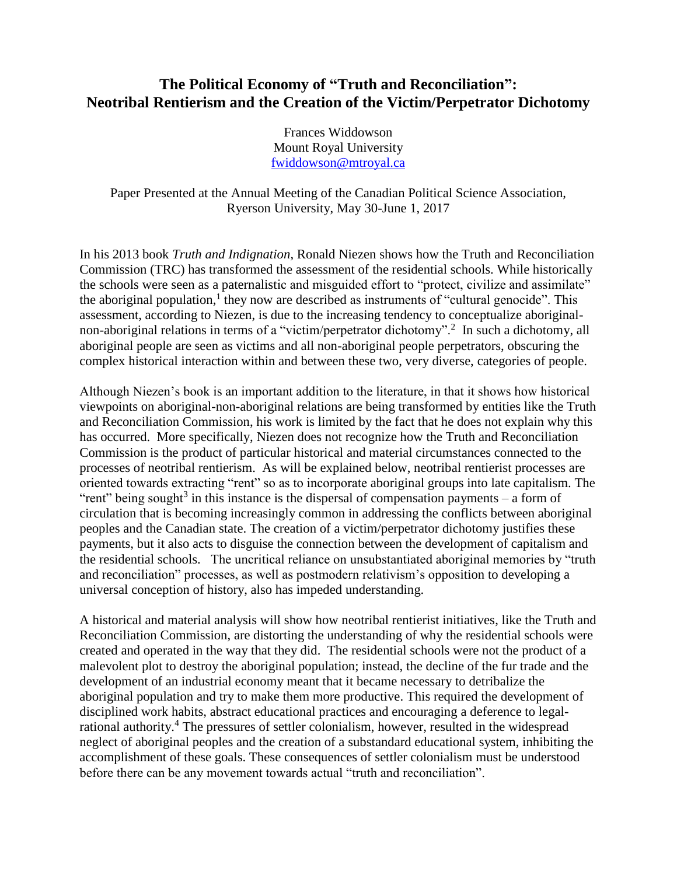# **The Political Economy of "Truth and Reconciliation": Neotribal Rentierism and the Creation of the Victim/Perpetrator Dichotomy**

Frances Widdowson Mount Royal University [fwiddowson@mtroyal.ca](mailto:fwiddowson@mtroyal.ca)

Paper Presented at the Annual Meeting of the Canadian Political Science Association, Ryerson University, May 30-June 1, 2017

In his 2013 book *Truth and Indignation*, Ronald Niezen shows how the Truth and Reconciliation Commission (TRC) has transformed the assessment of the residential schools. While historically the schools were seen as a paternalistic and misguided effort to "protect, civilize and assimilate" the aboriginal population,<sup>1</sup> they now are described as instruments of "cultural genocide". This assessment, according to Niezen, is due to the increasing tendency to conceptualize aboriginalnon-aboriginal relations in terms of a "victim/perpetrator dichotomy".<sup>2</sup> In such a dichotomy, all aboriginal people are seen as victims and all non-aboriginal people perpetrators, obscuring the complex historical interaction within and between these two, very diverse, categories of people.

Although Niezen's book is an important addition to the literature, in that it shows how historical viewpoints on aboriginal-non-aboriginal relations are being transformed by entities like the Truth and Reconciliation Commission, his work is limited by the fact that he does not explain why this has occurred. More specifically, Niezen does not recognize how the Truth and Reconciliation Commission is the product of particular historical and material circumstances connected to the processes of neotribal rentierism. As will be explained below, neotribal rentierist processes are oriented towards extracting "rent" so as to incorporate aboriginal groups into late capitalism. The "rent" being sought<sup>3</sup> in this instance is the dispersal of compensation payments  $-$  a form of circulation that is becoming increasingly common in addressing the conflicts between aboriginal peoples and the Canadian state. The creation of a victim/perpetrator dichotomy justifies these payments, but it also acts to disguise the connection between the development of capitalism and the residential schools. The uncritical reliance on unsubstantiated aboriginal memories by "truth and reconciliation" processes, as well as postmodern relativism's opposition to developing a universal conception of history, also has impeded understanding.

A historical and material analysis will show how neotribal rentierist initiatives, like the Truth and Reconciliation Commission, are distorting the understanding of why the residential schools were created and operated in the way that they did. The residential schools were not the product of a malevolent plot to destroy the aboriginal population; instead, the decline of the fur trade and the development of an industrial economy meant that it became necessary to detribalize the aboriginal population and try to make them more productive. This required the development of disciplined work habits, abstract educational practices and encouraging a deference to legalrational authority.<sup>4</sup> The pressures of settler colonialism, however, resulted in the widespread neglect of aboriginal peoples and the creation of a substandard educational system, inhibiting the accomplishment of these goals. These consequences of settler colonialism must be understood before there can be any movement towards actual "truth and reconciliation".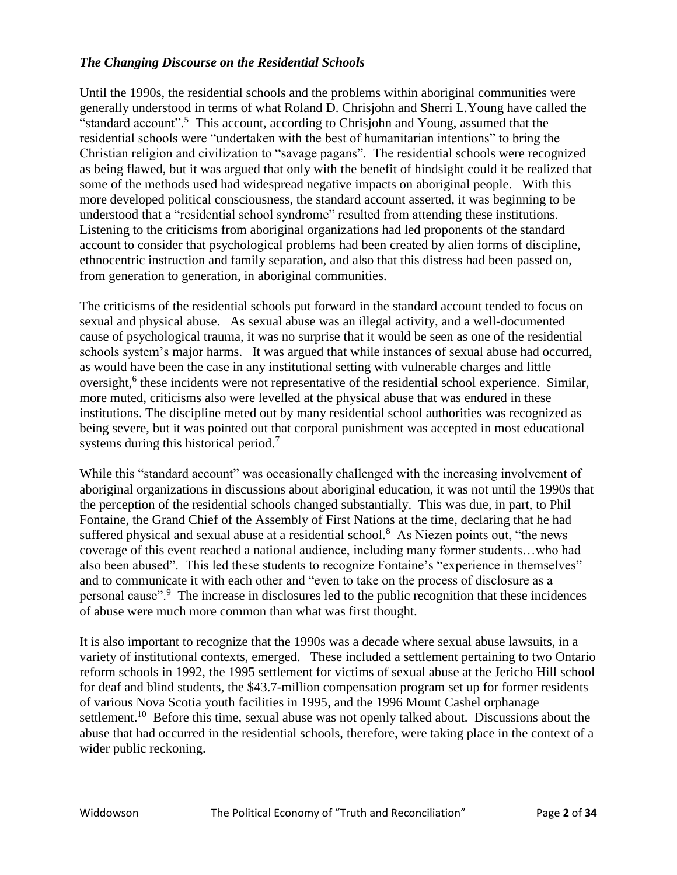## *The Changing Discourse on the Residential Schools*

Until the 1990s, the residential schools and the problems within aboriginal communities were generally understood in terms of what Roland D. Chrisjohn and Sherri L.Young have called the "standard account".<sup>5</sup> This account, according to Chrisjohn and Young, assumed that the residential schools were "undertaken with the best of humanitarian intentions" to bring the Christian religion and civilization to "savage pagans". The residential schools were recognized as being flawed, but it was argued that only with the benefit of hindsight could it be realized that some of the methods used had widespread negative impacts on aboriginal people. With this more developed political consciousness, the standard account asserted, it was beginning to be understood that a "residential school syndrome" resulted from attending these institutions. Listening to the criticisms from aboriginal organizations had led proponents of the standard account to consider that psychological problems had been created by alien forms of discipline, ethnocentric instruction and family separation, and also that this distress had been passed on, from generation to generation, in aboriginal communities.

The criticisms of the residential schools put forward in the standard account tended to focus on sexual and physical abuse. As sexual abuse was an illegal activity, and a well-documented cause of psychological trauma, it was no surprise that it would be seen as one of the residential schools system's major harms. It was argued that while instances of sexual abuse had occurred, as would have been the case in any institutional setting with vulnerable charges and little oversight,<sup>6</sup> these incidents were not representative of the residential school experience. Similar, more muted, criticisms also were levelled at the physical abuse that was endured in these institutions. The discipline meted out by many residential school authorities was recognized as being severe, but it was pointed out that corporal punishment was accepted in most educational systems during this historical period.<sup>7</sup>

While this "standard account" was occasionally challenged with the increasing involvement of aboriginal organizations in discussions about aboriginal education, it was not until the 1990s that the perception of the residential schools changed substantially. This was due, in part, to Phil Fontaine, the Grand Chief of the Assembly of First Nations at the time, declaring that he had suffered physical and sexual abuse at a residential school.<sup>8</sup> As Niezen points out, "the news coverage of this event reached a national audience, including many former students…who had also been abused". This led these students to recognize Fontaine's "experience in themselves" and to communicate it with each other and "even to take on the process of disclosure as a personal cause".<sup>9</sup> The increase in disclosures led to the public recognition that these incidences of abuse were much more common than what was first thought.

It is also important to recognize that the 1990s was a decade where sexual abuse lawsuits, in a variety of institutional contexts, emerged. These included a settlement pertaining to two Ontario reform schools in 1992, the 1995 settlement for victims of sexual abuse at the Jericho Hill school for deaf and blind students, the \$43.7-million compensation program set up for former residents of various Nova Scotia youth facilities in 1995, and the 1996 Mount Cashel orphanage settlement.<sup>10</sup> Before this time, sexual abuse was not openly talked about. Discussions about the abuse that had occurred in the residential schools, therefore, were taking place in the context of a wider public reckoning.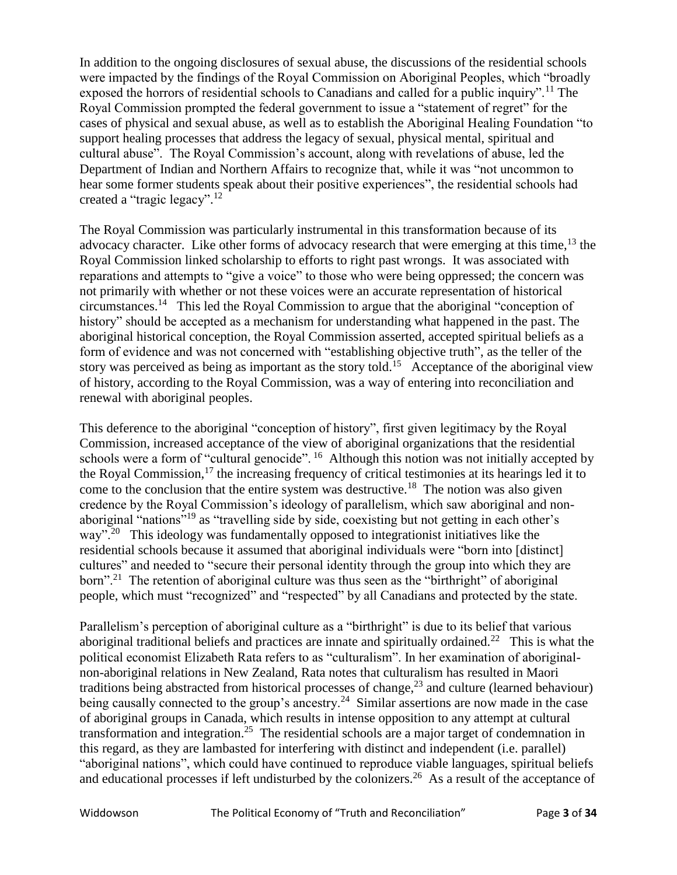In addition to the ongoing disclosures of sexual abuse, the discussions of the residential schools were impacted by the findings of the Royal Commission on Aboriginal Peoples, which "broadly exposed the horrors of residential schools to Canadians and called for a public inquiry".<sup>11</sup> The Royal Commission prompted the federal government to issue a "statement of regret" for the cases of physical and sexual abuse, as well as to establish the Aboriginal Healing Foundation "to support healing processes that address the legacy of sexual, physical mental, spiritual and cultural abuse". The Royal Commission's account, along with revelations of abuse, led the Department of Indian and Northern Affairs to recognize that, while it was "not uncommon to hear some former students speak about their positive experiences", the residential schools had created a "tragic legacy".<sup>12</sup>

The Royal Commission was particularly instrumental in this transformation because of its advocacy character. Like other forms of advocacy research that were emerging at this time,  $^{13}$  the Royal Commission linked scholarship to efforts to right past wrongs. It was associated with reparations and attempts to "give a voice" to those who were being oppressed; the concern was not primarily with whether or not these voices were an accurate representation of historical circumstances.<sup>14</sup> This led the Royal Commission to argue that the aboriginal "conception of history" should be accepted as a mechanism for understanding what happened in the past. The aboriginal historical conception, the Royal Commission asserted, accepted spiritual beliefs as a form of evidence and was not concerned with "establishing objective truth", as the teller of the story was perceived as being as important as the story told.<sup>15</sup> Acceptance of the aboriginal view of history, according to the Royal Commission, was a way of entering into reconciliation and renewal with aboriginal peoples.

This deference to the aboriginal "conception of history", first given legitimacy by the Royal Commission, increased acceptance of the view of aboriginal organizations that the residential schools were a form of "cultural genocide". <sup>16</sup> Although this notion was not initially accepted by the Royal Commission, $17$  the increasing frequency of critical testimonies at its hearings led it to come to the conclusion that the entire system was destructive.<sup>18</sup> The notion was also given credence by the Royal Commission's ideology of parallelism, which saw aboriginal and nonaboriginal "nations"<sup>19</sup> as "travelling side by side, coexisting but not getting in each other's way"<sup>. 20</sup> This ideology was fundamentally opposed to integrationist initiatives like the residential schools because it assumed that aboriginal individuals were "born into [distinct] cultures" and needed to "secure their personal identity through the group into which they are born".<sup>21</sup> The retention of aboriginal culture was thus seen as the "birthright" of aboriginal people, which must "recognized" and "respected" by all Canadians and protected by the state.

Parallelism's perception of aboriginal culture as a "birthright" is due to its belief that various aboriginal traditional beliefs and practices are innate and spiritually ordained.<sup>22</sup> This is what the political economist Elizabeth Rata refers to as "culturalism". In her examination of aboriginalnon-aboriginal relations in New Zealand, Rata notes that culturalism has resulted in Maori traditions being abstracted from historical processes of change,<sup>23</sup> and culture (learned behaviour) being causally connected to the group's ancestry.<sup>24</sup> Similar assertions are now made in the case of aboriginal groups in Canada, which results in intense opposition to any attempt at cultural transformation and integration.<sup>25</sup> The residential schools are a major target of condemnation in this regard, as they are lambasted for interfering with distinct and independent (i.e. parallel) "aboriginal nations", which could have continued to reproduce viable languages, spiritual beliefs and educational processes if left undisturbed by the colonizers.<sup>26</sup> As a result of the acceptance of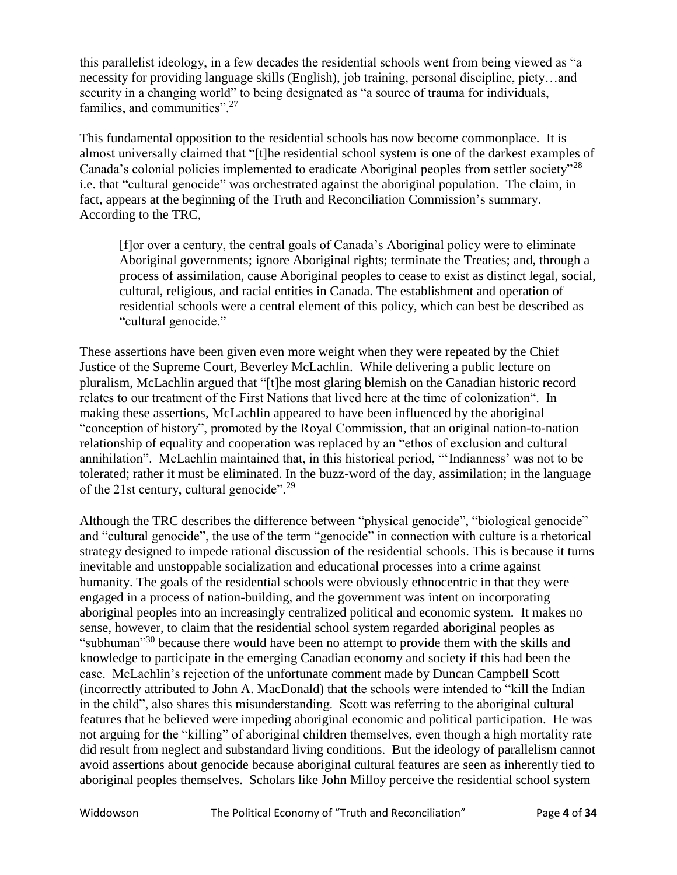this parallelist ideology, in a few decades the residential schools went from being viewed as "a necessity for providing language skills (English), job training, personal discipline, piety…and security in a changing world" to being designated as "a source of trauma for individuals, families, and communities".<sup>27</sup>

This fundamental opposition to the residential schools has now become commonplace. It is almost universally claimed that "[t]he residential school system is one of the darkest examples of Canada's colonial policies implemented to eradicate Aboriginal peoples from settler society"<sup>28</sup> – i.e. that "cultural genocide" was orchestrated against the aboriginal population. The claim, in fact, appears at the beginning of the Truth and Reconciliation Commission's summary. According to the TRC,

[f]or over a century, the central goals of Canada's Aboriginal policy were to eliminate Aboriginal governments; ignore Aboriginal rights; terminate the Treaties; and, through a process of assimilation, cause Aboriginal peoples to cease to exist as distinct legal, social, cultural, religious, and racial entities in Canada. The establishment and operation of residential schools were a central element of this policy, which can best be described as "cultural genocide."

These assertions have been given even more weight when they were repeated by the Chief Justice of the Supreme Court, Beverley McLachlin. While delivering a public lecture on pluralism, McLachlin argued that "[t]he most glaring blemish on the Canadian historic record relates to our treatment of the First Nations that lived here at the time of colonization". In making these assertions, McLachlin appeared to have been influenced by the aboriginal "conception of history", promoted by the Royal Commission, that an original nation-to-nation relationship of equality and cooperation was replaced by an "ethos of exclusion and cultural annihilation". McLachlin maintained that, in this historical period, "'Indianness' was not to be tolerated; rather it must be eliminated. In the buzz-word of the day, assimilation; in the language of the 21st century, cultural genocide".<sup>29</sup>

Although the TRC describes the difference between "physical genocide", "biological genocide" and "cultural genocide", the use of the term "genocide" in connection with culture is a rhetorical strategy designed to impede rational discussion of the residential schools. This is because it turns inevitable and unstoppable socialization and educational processes into a crime against humanity. The goals of the residential schools were obviously ethnocentric in that they were engaged in a process of nation-building, and the government was intent on incorporating aboriginal peoples into an increasingly centralized political and economic system. It makes no sense, however, to claim that the residential school system regarded aboriginal peoples as "subhuman"<sup>30</sup> because there would have been no attempt to provide them with the skills and knowledge to participate in the emerging Canadian economy and society if this had been the case. McLachlin's rejection of the unfortunate comment made by Duncan Campbell Scott (incorrectly attributed to John A. MacDonald) that the schools were intended to "kill the Indian in the child", also shares this misunderstanding. Scott was referring to the aboriginal cultural features that he believed were impeding aboriginal economic and political participation. He was not arguing for the "killing" of aboriginal children themselves, even though a high mortality rate did result from neglect and substandard living conditions. But the ideology of parallelism cannot avoid assertions about genocide because aboriginal cultural features are seen as inherently tied to aboriginal peoples themselves. Scholars like John Milloy perceive the residential school system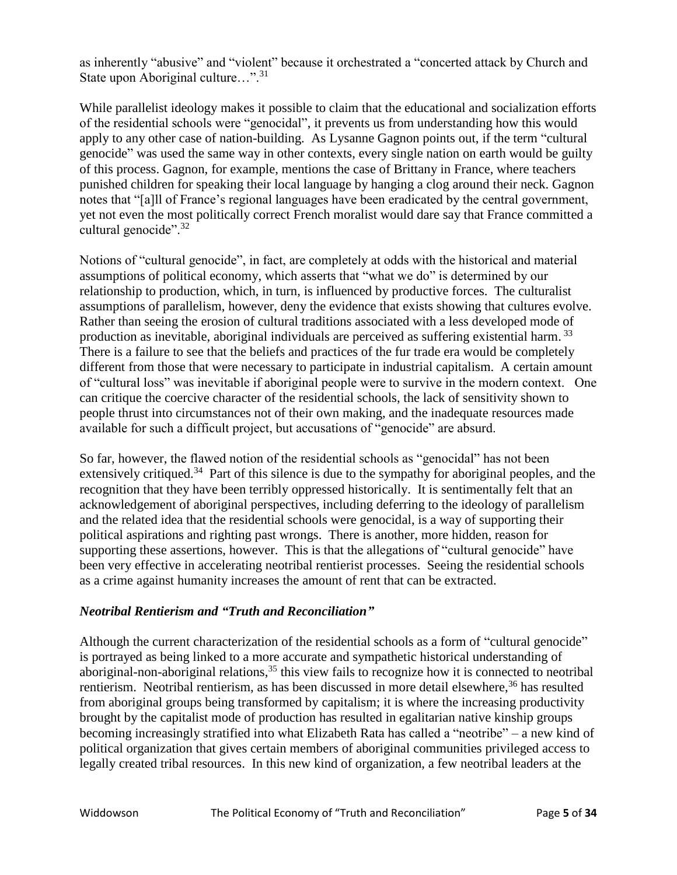as inherently "abusive" and "violent" because it orchestrated a "concerted attack by Church and State upon Aboriginal culture...".<sup>31</sup>

While parallelist ideology makes it possible to claim that the educational and socialization efforts of the residential schools were "genocidal", it prevents us from understanding how this would apply to any other case of nation-building. As Lysanne Gagnon points out, if the term "cultural genocide" was used the same way in other contexts, every single nation on earth would be guilty of this process. Gagnon, for example, mentions the case of Brittany in France, where teachers punished children for speaking their local language by hanging a clog around their neck. Gagnon notes that "[a]ll of France's regional languages have been eradicated by the central government, yet not even the most politically correct French moralist would dare say that France committed a cultural genocide".<sup>32</sup>

Notions of "cultural genocide", in fact, are completely at odds with the historical and material assumptions of political economy, which asserts that "what we do" is determined by our relationship to production, which, in turn, is influenced by productive forces. The culturalist assumptions of parallelism, however, deny the evidence that exists showing that cultures evolve. Rather than seeing the erosion of cultural traditions associated with a less developed mode of production as inevitable, aboriginal individuals are perceived as suffering existential harm.<sup>33</sup> There is a failure to see that the beliefs and practices of the fur trade era would be completely different from those that were necessary to participate in industrial capitalism. A certain amount of "cultural loss" was inevitable if aboriginal people were to survive in the modern context. One can critique the coercive character of the residential schools, the lack of sensitivity shown to people thrust into circumstances not of their own making, and the inadequate resources made available for such a difficult project, but accusations of "genocide" are absurd.

So far, however, the flawed notion of the residential schools as "genocidal" has not been extensively critiqued.<sup>34</sup> Part of this silence is due to the sympathy for aboriginal peoples, and the recognition that they have been terribly oppressed historically. It is sentimentally felt that an acknowledgement of aboriginal perspectives, including deferring to the ideology of parallelism and the related idea that the residential schools were genocidal, is a way of supporting their political aspirations and righting past wrongs. There is another, more hidden, reason for supporting these assertions, however. This is that the allegations of "cultural genocide" have been very effective in accelerating neotribal rentierist processes. Seeing the residential schools as a crime against humanity increases the amount of rent that can be extracted.

### *Neotribal Rentierism and "Truth and Reconciliation"*

Although the current characterization of the residential schools as a form of "cultural genocide" is portrayed as being linked to a more accurate and sympathetic historical understanding of aboriginal-non-aboriginal relations,<sup>35</sup> this view fails to recognize how it is connected to neotribal rentierism. Neotribal rentierism, as has been discussed in more detail elsewhere,<sup>36</sup> has resulted from aboriginal groups being transformed by capitalism; it is where the increasing productivity brought by the capitalist mode of production has resulted in egalitarian native kinship groups becoming increasingly stratified into what Elizabeth Rata has called a "neotribe" – a new kind of political organization that gives certain members of aboriginal communities privileged access to legally created tribal resources. In this new kind of organization, a few neotribal leaders at the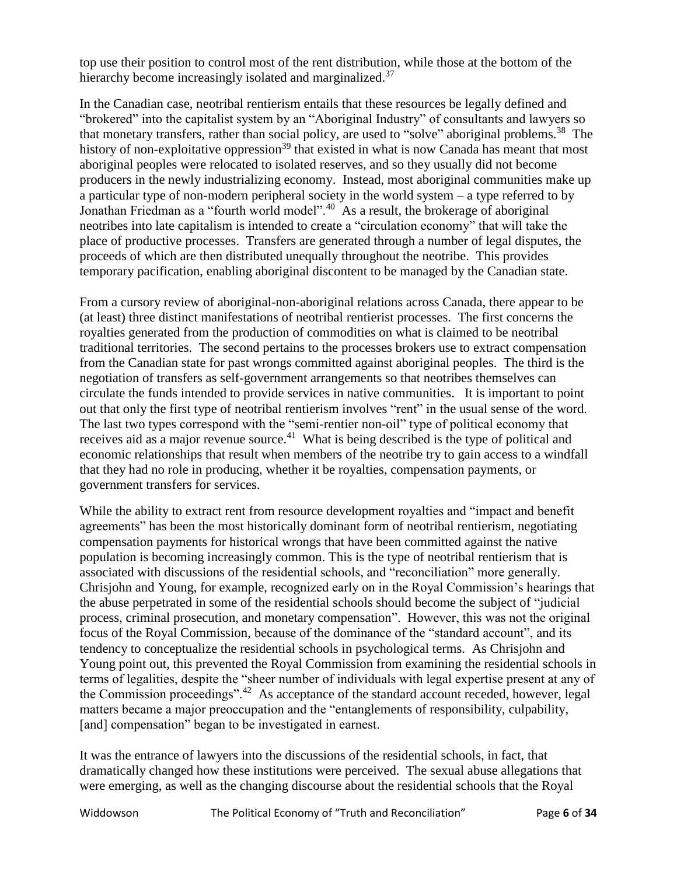top use their position to control most of the rent distribution, while those at the bottom of the hierarchy become increasingly isolated and marginalized.<sup>37</sup>

In the Canadian case, neotribal rentierism entails that these resources be legally defined and "brokered" into the capitalist system by an "Aboriginal Industry" of consultants and lawyers so that monetary transfers, rather than social policy, are used to "solve" aboriginal problems.<sup>38</sup> The history of non-exploitative oppression<sup>39</sup> that existed in what is now Canada has meant that most aboriginal peoples were relocated to isolated reserves, and so they usually did not become producers in the newly industrializing economy. Instead, most aboriginal communities make up a particular type of non-modern peripheral society in the world system – a type referred to by Jonathan Friedman as a "fourth world model".<sup>40</sup> As a result, the brokerage of aboriginal neotribes into late capitalism is intended to create a "circulation economy" that will take the place of productive processes. Transfers are generated through a number of legal disputes, the proceeds of which are then distributed unequally throughout the neotribe. This provides temporary pacification, enabling aboriginal discontent to be managed by the Canadian state.

From a cursory review of aboriginal-non-aboriginal relations across Canada, there appear to be (at least) three distinct manifestations of neotribal rentierist processes. The first concerns the royalties generated from the production of commodities on what is claimed to be neotribal traditional territories. The second pertains to the processes brokers use to extract compensation from the Canadian state for past wrongs committed against aboriginal peoples. The third is the negotiation of transfers as self-government arrangements so that neotribes themselves can circulate the funds intended to provide services in native communities. It is important to point out that only the first type of neotribal rentierism involves "rent" in the usual sense of the word. The last two types correspond with the "semi-rentier non-oil" type of political economy that receives aid as a major revenue source.<sup>41</sup> What is being described is the type of political and economic relationships that result when members of the neotribe try to gain access to a windfall that they had no role in producing, whether it be royalties, compensation payments, or government transfers for services.

While the ability to extract rent from resource development royalties and "impact and benefit agreements" has been the most historically dominant form of neotribal rentierism, negotiating compensation payments for historical wrongs that have been committed against the native population is becoming increasingly common. This is the type of neotribal rentierism that is associated with discussions of the residential schools, and "reconciliation" more generally. Chrisjohn and Young, for example, recognized early on in the Royal Commission's hearings that the abuse perpetrated in some of the residential schools should become the subject of "judicial process, criminal prosecution, and monetary compensation". However, this was not the original focus of the Royal Commission, because of the dominance of the "standard account", and its tendency to conceptualize the residential schools in psychological terms. As Chrisjohn and Young point out, this prevented the Royal Commission from examining the residential schools in terms of legalities, despite the "sheer number of individuals with legal expertise present at any of the Commission proceedings".<sup>42</sup> As acceptance of the standard account receded, however, legal matters became a major preoccupation and the "entanglements of responsibility, culpability, [and] compensation" began to be investigated in earnest.

It was the entrance of lawyers into the discussions of the residential schools, in fact, that dramatically changed how these institutions were perceived. The sexual abuse allegations that were emerging, as well as the changing discourse about the residential schools that the Royal

Widdowson The Political Economy of "Truth and Reconciliation" Page **6** of **34**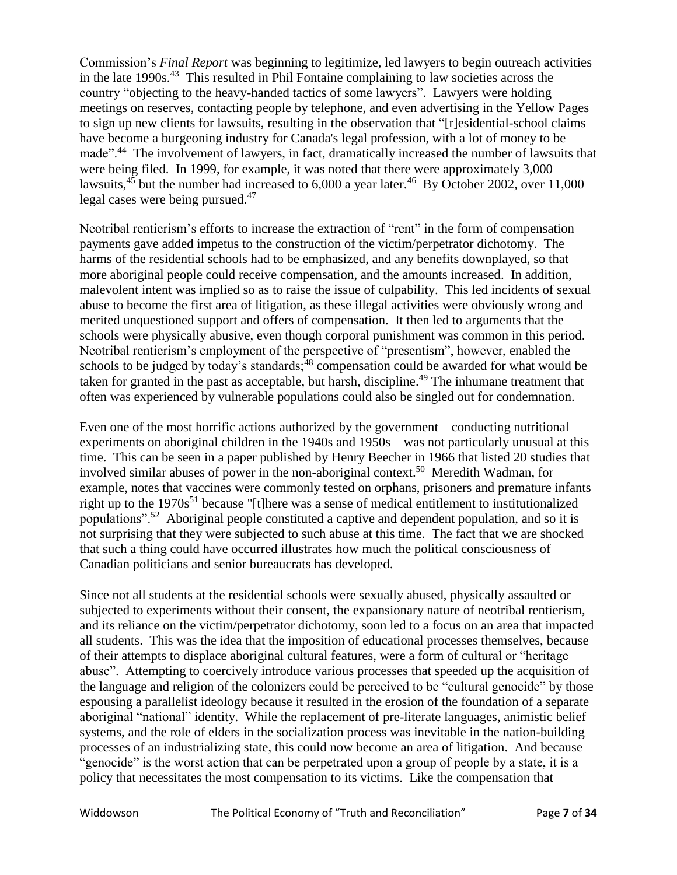Commission's *Final Report* was beginning to legitimize, led lawyers to begin outreach activities in the late 1990s.<sup>43</sup> This resulted in Phil Fontaine complaining to law societies across the country "objecting to the heavy-handed tactics of some lawyers". Lawyers were holding meetings on reserves, contacting people by telephone, and even advertising in the Yellow Pages to sign up new clients for lawsuits, resulting in the observation that "[r]esidential-school claims have become a burgeoning industry for Canada's legal profession, with a lot of money to be made".<sup>44</sup> The involvement of lawyers, in fact, dramatically increased the number of lawsuits that were being filed. In 1999, for example, it was noted that there were approximately 3,000 lawsuits, $45$  but the number had increased to 6,000 a year later.<sup>46</sup> By October 2002, over 11,000 legal cases were being pursued.<sup>47</sup>

Neotribal rentierism's efforts to increase the extraction of "rent" in the form of compensation payments gave added impetus to the construction of the victim/perpetrator dichotomy. The harms of the residential schools had to be emphasized, and any benefits downplayed, so that more aboriginal people could receive compensation, and the amounts increased. In addition, malevolent intent was implied so as to raise the issue of culpability. This led incidents of sexual abuse to become the first area of litigation, as these illegal activities were obviously wrong and merited unquestioned support and offers of compensation. It then led to arguments that the schools were physically abusive, even though corporal punishment was common in this period. Neotribal rentierism's employment of the perspective of "presentism", however, enabled the schools to be judged by today's standards; $48$  compensation could be awarded for what would be taken for granted in the past as acceptable, but harsh, discipline.<sup>49</sup> The inhumane treatment that often was experienced by vulnerable populations could also be singled out for condemnation.

Even one of the most horrific actions authorized by the government – conducting nutritional experiments on aboriginal children in the 1940s and 1950s – was not particularly unusual at this time. This can be seen in a paper published by Henry Beecher in 1966 that listed 20 studies that involved similar abuses of power in the non-aboriginal context. 50 Meredith Wadman, for example, notes that vaccines were commonly tested on orphans, prisoners and premature infants right up to the  $1970s^{51}$  because "[t]here was a sense of medical entitlement to institutionalized populations".<sup>52</sup> Aboriginal people constituted a captive and dependent population, and so it is not surprising that they were subjected to such abuse at this time. The fact that we are shocked that such a thing could have occurred illustrates how much the political consciousness of Canadian politicians and senior bureaucrats has developed.

Since not all students at the residential schools were sexually abused, physically assaulted or subjected to experiments without their consent, the expansionary nature of neotribal rentierism, and its reliance on the victim/perpetrator dichotomy, soon led to a focus on an area that impacted all students. This was the idea that the imposition of educational processes themselves, because of their attempts to displace aboriginal cultural features, were a form of cultural or "heritage abuse". Attempting to coercively introduce various processes that speeded up the acquisition of the language and religion of the colonizers could be perceived to be "cultural genocide" by those espousing a parallelist ideology because it resulted in the erosion of the foundation of a separate aboriginal "national" identity. While the replacement of pre-literate languages, animistic belief systems, and the role of elders in the socialization process was inevitable in the nation-building processes of an industrializing state, this could now become an area of litigation. And because "genocide" is the worst action that can be perpetrated upon a group of people by a state, it is a policy that necessitates the most compensation to its victims. Like the compensation that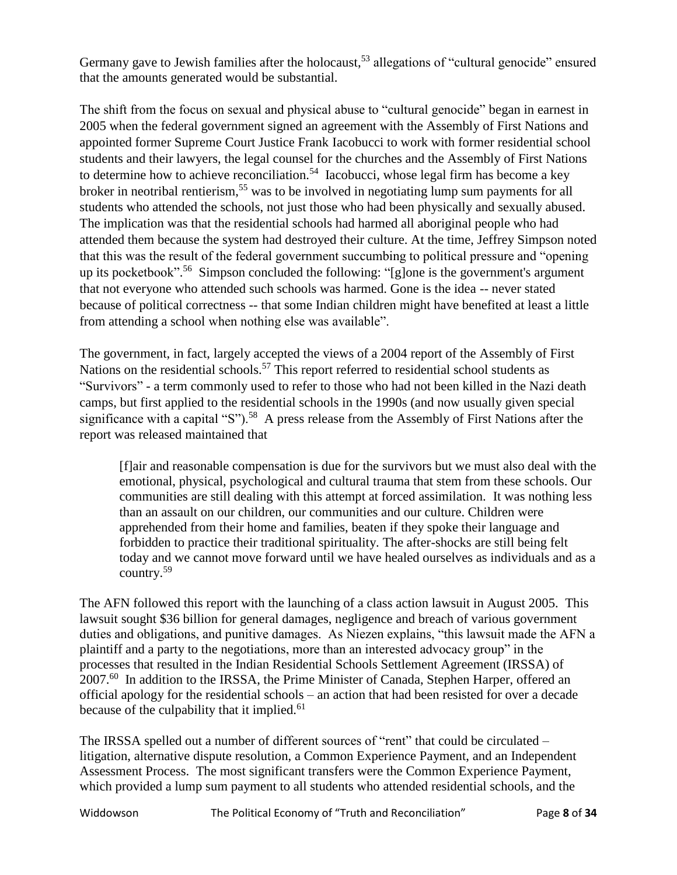Germany gave to Jewish families after the holocaust,<sup>53</sup> allegations of "cultural genocide" ensured that the amounts generated would be substantial.

The shift from the focus on sexual and physical abuse to "cultural genocide" began in earnest in 2005 when the federal government signed an agreement with the Assembly of First Nations and appointed former Supreme Court Justice Frank Iacobucci to work with former residential school students and their lawyers, the legal counsel for the churches and the Assembly of First Nations to determine how to achieve reconciliation.<sup>54</sup> Iacobucci, whose legal firm has become a key broker in neotribal rentierism,<sup>55</sup> was to be involved in negotiating lump sum payments for all students who attended the schools, not just those who had been physically and sexually abused. The implication was that the residential schools had harmed all aboriginal people who had attended them because the system had destroyed their culture. At the time, Jeffrey Simpson noted that this was the result of the federal government succumbing to political pressure and "opening up its pocketbook". 56 Simpson concluded the following: "[g]one is the government's argument that not everyone who attended such schools was harmed. Gone is the idea -- never stated because of political correctness -- that some Indian children might have benefited at least a little from attending a school when nothing else was available".

The government, in fact, largely accepted the views of a 2004 report of the Assembly of First Nations on the residential schools.<sup>57</sup> This report referred to residential school students as "Survivors" - a term commonly used to refer to those who had not been killed in the Nazi death camps, but first applied to the residential schools in the 1990s (and now usually given special significance with a capital "S").<sup>58</sup> A press release from the Assembly of First Nations after the report was released maintained that

[f]air and reasonable compensation is due for the survivors but we must also deal with the emotional, physical, psychological and cultural trauma that stem from these schools. Our communities are still dealing with this attempt at forced assimilation. It was nothing less than an assault on our children, our communities and our culture. Children were apprehended from their home and families, beaten if they spoke their language and forbidden to practice their traditional spirituality. The after-shocks are still being felt today and we cannot move forward until we have healed ourselves as individuals and as a country.<sup>59</sup>

The AFN followed this report with the launching of a class action lawsuit in August 2005. This lawsuit sought \$36 billion for general damages, negligence and breach of various government duties and obligations, and punitive damages. As Niezen explains, "this lawsuit made the AFN a plaintiff and a party to the negotiations, more than an interested advocacy group" in the processes that resulted in the Indian Residential Schools Settlement Agreement (IRSSA) of 2007.<sup>60</sup> In addition to the IRSSA, the Prime Minister of Canada, Stephen Harper, offered an official apology for the residential schools – an action that had been resisted for over a decade because of the culpability that it implied.<sup>61</sup>

The IRSSA spelled out a number of different sources of "rent" that could be circulated – litigation, alternative dispute resolution, a Common Experience Payment, and an Independent Assessment Process. The most significant transfers were the Common Experience Payment, which provided a lump sum payment to all students who attended residential schools, and the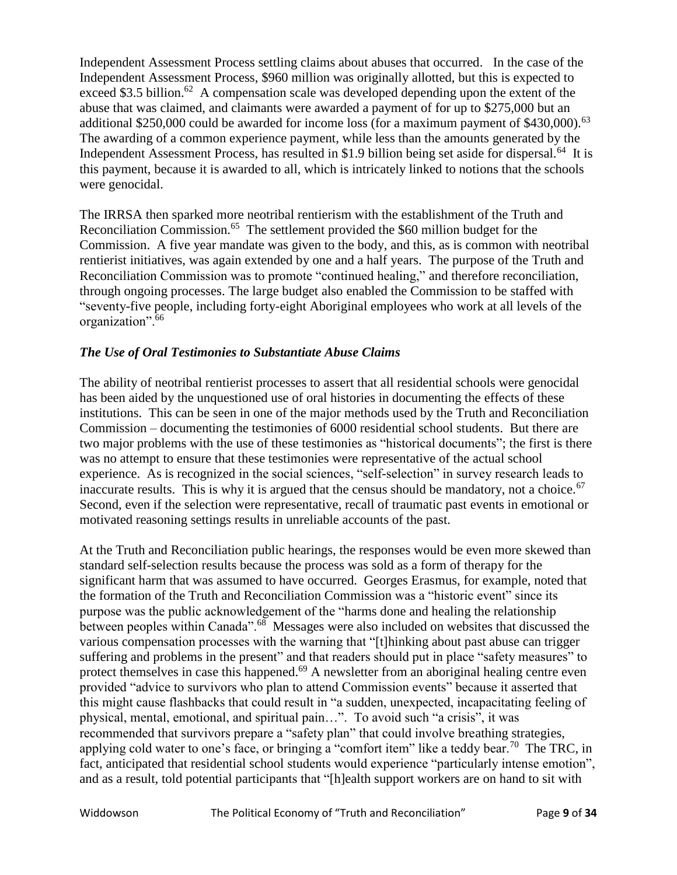Independent Assessment Process settling claims about abuses that occurred. In the case of the Independent Assessment Process, \$960 million was originally allotted, but this is expected to exceed \$3.5 billion.<sup>62</sup> A compensation scale was developed depending upon the extent of the abuse that was claimed, and claimants were awarded a payment of for up to \$275,000 but an additional \$250,000 could be awarded for income loss (for a maximum payment of  $$430,000$ ).<sup>63</sup> The awarding of a common experience payment, while less than the amounts generated by the Independent Assessment Process, has resulted in \$1.9 billion being set aside for dispersal.<sup>64</sup> It is this payment, because it is awarded to all, which is intricately linked to notions that the schools were genocidal.

The IRRSA then sparked more neotribal rentierism with the establishment of the Truth and Reconciliation Commission.<sup>65</sup> The settlement provided the \$60 million budget for the Commission. A five year mandate was given to the body, and this, as is common with neotribal rentierist initiatives, was again extended by one and a half years. The purpose of the Truth and Reconciliation Commission was to promote "continued healing," and therefore reconciliation, through ongoing processes. The large budget also enabled the Commission to be staffed with "seventy-five people, including forty-eight Aboriginal employees who work at all levels of the organization".<sup>66</sup>

## *The Use of Oral Testimonies to Substantiate Abuse Claims*

The ability of neotribal rentierist processes to assert that all residential schools were genocidal has been aided by the unquestioned use of oral histories in documenting the effects of these institutions. This can be seen in one of the major methods used by the Truth and Reconciliation Commission – documenting the testimonies of 6000 residential school students. But there are two major problems with the use of these testimonies as "historical documents"; the first is there was no attempt to ensure that these testimonies were representative of the actual school experience. As is recognized in the social sciences, "self-selection" in survey research leads to inaccurate results. This is why it is argued that the census should be mandatory, not a choice.<sup>67</sup> Second, even if the selection were representative, recall of traumatic past events in emotional or motivated reasoning settings results in unreliable accounts of the past.

At the Truth and Reconciliation public hearings, the responses would be even more skewed than standard self-selection results because the process was sold as a form of therapy for the significant harm that was assumed to have occurred. Georges Erasmus, for example, noted that the formation of the Truth and Reconciliation Commission was a "historic event" since its purpose was the public acknowledgement of the "harms done and healing the relationship between peoples within Canada".<sup>68</sup> Messages were also included on websites that discussed the various compensation processes with the warning that "[t]hinking about past abuse can trigger suffering and problems in the present" and that readers should put in place "safety measures" to protect themselves in case this happened.<sup>69</sup> A newsletter from an aboriginal healing centre even provided "advice to survivors who plan to attend Commission events" because it asserted that this might cause flashbacks that could result in "a sudden, unexpected, incapacitating feeling of physical, mental, emotional, and spiritual pain…". To avoid such "a crisis", it was recommended that survivors prepare a "safety plan" that could involve breathing strategies, applying cold water to one's face, or bringing a "comfort item" like a teddy bear.<sup>70</sup> The TRC, in fact, anticipated that residential school students would experience "particularly intense emotion", and as a result, told potential participants that "[h]ealth support workers are on hand to sit with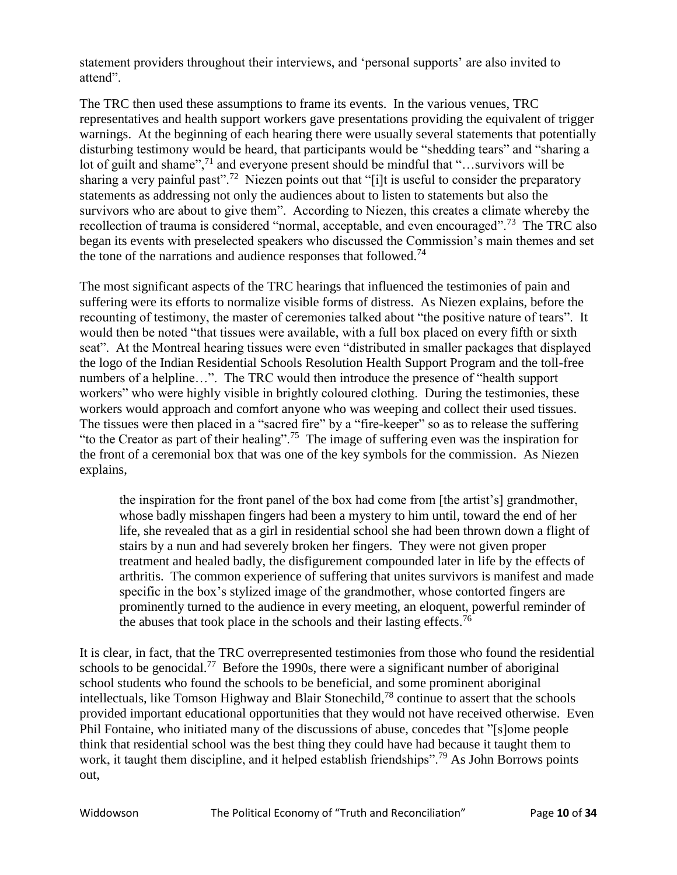statement providers throughout their interviews, and 'personal supports' are also invited to attend".

The TRC then used these assumptions to frame its events. In the various venues, TRC representatives and health support workers gave presentations providing the equivalent of trigger warnings. At the beginning of each hearing there were usually several statements that potentially disturbing testimony would be heard, that participants would be "shedding tears" and "sharing a lot of guilt and shame",<sup>71</sup> and everyone present should be mindful that "...survivors will be sharing a very painful past".<sup>72</sup> Niezen points out that "[i]t is useful to consider the preparatory statements as addressing not only the audiences about to listen to statements but also the survivors who are about to give them". According to Niezen, this creates a climate whereby the recollection of trauma is considered "normal, acceptable, and even encouraged".<sup>73</sup> The TRC also began its events with preselected speakers who discussed the Commission's main themes and set the tone of the narrations and audience responses that followed.<sup>74</sup>

The most significant aspects of the TRC hearings that influenced the testimonies of pain and suffering were its efforts to normalize visible forms of distress. As Niezen explains, before the recounting of testimony, the master of ceremonies talked about "the positive nature of tears". It would then be noted "that tissues were available, with a full box placed on every fifth or sixth seat". At the Montreal hearing tissues were even "distributed in smaller packages that displayed the logo of the Indian Residential Schools Resolution Health Support Program and the toll-free numbers of a helpline…". The TRC would then introduce the presence of "health support workers" who were highly visible in brightly coloured clothing. During the testimonies, these workers would approach and comfort anyone who was weeping and collect their used tissues. The tissues were then placed in a "sacred fire" by a "fire-keeper" so as to release the suffering "to the Creator as part of their healing".<sup>75</sup> The image of suffering even was the inspiration for the front of a ceremonial box that was one of the key symbols for the commission. As Niezen explains,

the inspiration for the front panel of the box had come from [the artist's] grandmother, whose badly misshapen fingers had been a mystery to him until, toward the end of her life, she revealed that as a girl in residential school she had been thrown down a flight of stairs by a nun and had severely broken her fingers. They were not given proper treatment and healed badly, the disfigurement compounded later in life by the effects of arthritis. The common experience of suffering that unites survivors is manifest and made specific in the box's stylized image of the grandmother, whose contorted fingers are prominently turned to the audience in every meeting, an eloquent, powerful reminder of the abuses that took place in the schools and their lasting effects.<sup>76</sup>

It is clear, in fact, that the TRC overrepresented testimonies from those who found the residential schools to be genocidal.<sup>77</sup> Before the 1990s, there were a significant number of aboriginal school students who found the schools to be beneficial, and some prominent aboriginal intellectuals, like Tomson Highway and Blair Stonechild,<sup>78</sup> continue to assert that the schools provided important educational opportunities that they would not have received otherwise. Even Phil Fontaine, who initiated many of the discussions of abuse, concedes that "[s]ome people think that residential school was the best thing they could have had because it taught them to work, it taught them discipline, and it helped establish friendships".<sup>79</sup> As John Borrows points out,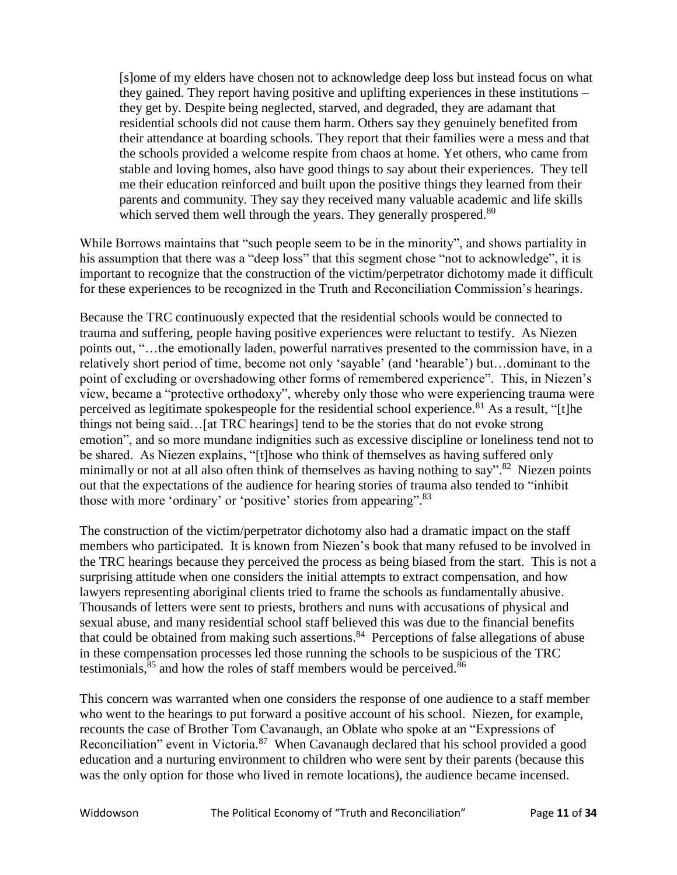[s]ome of my elders have chosen not to acknowledge deep loss but instead focus on what they gained. They report having positive and uplifting experiences in these institutions – they get by. Despite being neglected, starved, and degraded, they are adamant that residential schools did not cause them harm. Others say they genuinely benefited from their attendance at boarding schools. They report that their families were a mess and that the schools provided a welcome respite from chaos at home. Yet others, who came from stable and loving homes, also have good things to say about their experiences. They tell me their education reinforced and built upon the positive things they learned from their parents and community. They say they received many valuable academic and life skills which served them well through the years. They generally prospered.<sup>80</sup>

While Borrows maintains that "such people seem to be in the minority", and shows partiality in his assumption that there was a "deep loss" that this segment chose "not to acknowledge", it is important to recognize that the construction of the victim/perpetrator dichotomy made it difficult for these experiences to be recognized in the Truth and Reconciliation Commission's hearings.

Because the TRC continuously expected that the residential schools would be connected to trauma and suffering, people having positive experiences were reluctant to testify. As Niezen points out, "…the emotionally laden, powerful narratives presented to the commission have, in a relatively short period of time, become not only 'sayable' (and 'hearable') but…dominant to the point of excluding or overshadowing other forms of remembered experience". This, in Niezen's view, became a "protective orthodoxy", whereby only those who were experiencing trauma were perceived as legitimate spokespeople for the residential school experience.<sup>81</sup> As a result, "[t]he things not being said…[at TRC hearings] tend to be the stories that do not evoke strong emotion", and so more mundane indignities such as excessive discipline or loneliness tend not to be shared. As Niezen explains, "[t]hose who think of themselves as having suffered only minimally or not at all also often think of themselves as having nothing to say".<sup>82</sup> Niezen points out that the expectations of the audience for hearing stories of trauma also tended to "inhibit those with more 'ordinary' or 'positive' stories from appearing". 83

The construction of the victim/perpetrator dichotomy also had a dramatic impact on the staff members who participated. It is known from Niezen's book that many refused to be involved in the TRC hearings because they perceived the process as being biased from the start. This is not a surprising attitude when one considers the initial attempts to extract compensation, and how lawyers representing aboriginal clients tried to frame the schools as fundamentally abusive. Thousands of letters were sent to priests, brothers and nuns with accusations of physical and sexual abuse, and many residential school staff believed this was due to the financial benefits that could be obtained from making such assertions.<sup>84</sup> Perceptions of false allegations of abuse in these compensation processes led those running the schools to be suspicious of the TRC testimonials, $85$  and how the roles of staff members would be perceived. $86$ 

This concern was warranted when one considers the response of one audience to a staff member who went to the hearings to put forward a positive account of his school. Niezen, for example, recounts the case of Brother Tom Cavanaugh, an Oblate who spoke at an "Expressions of Reconciliation" event in Victoria.<sup>87</sup> When Cavanaugh declared that his school provided a good education and a nurturing environment to children who were sent by their parents (because this was the only option for those who lived in remote locations), the audience became incensed.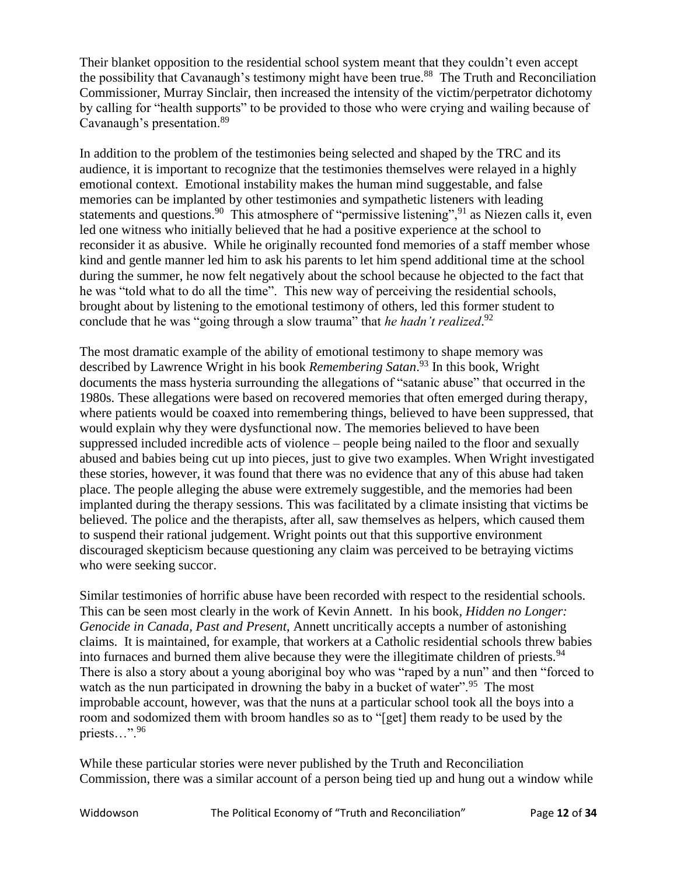Their blanket opposition to the residential school system meant that they couldn't even accept the possibility that Cavanaugh's testimony might have been true. <sup>88</sup> The Truth and Reconciliation Commissioner, Murray Sinclair, then increased the intensity of the victim/perpetrator dichotomy by calling for "health supports" to be provided to those who were crying and wailing because of Cavanaugh's presentation.<sup>89</sup>

In addition to the problem of the testimonies being selected and shaped by the TRC and its audience, it is important to recognize that the testimonies themselves were relayed in a highly emotional context. Emotional instability makes the human mind suggestable, and false memories can be implanted by other testimonies and sympathetic listeners with leading statements and questions.<sup>90</sup> This atmosphere of "permissive listening",  $91$  as Niezen calls it, even led one witness who initially believed that he had a positive experience at the school to reconsider it as abusive. While he originally recounted fond memories of a staff member whose kind and gentle manner led him to ask his parents to let him spend additional time at the school during the summer, he now felt negatively about the school because he objected to the fact that he was "told what to do all the time". This new way of perceiving the residential schools, brought about by listening to the emotional testimony of others, led this former student to conclude that he was "going through a slow trauma" that *he hadn't realized*. 92

The most dramatic example of the ability of emotional testimony to shape memory was described by Lawrence Wright in his book *Remembering Satan*. <sup>93</sup> In this book, Wright documents the mass hysteria surrounding the allegations of "satanic abuse" that occurred in the 1980s. These allegations were based on recovered memories that often emerged during therapy, where patients would be coaxed into remembering things, believed to have been suppressed, that would explain why they were dysfunctional now. The memories believed to have been suppressed included incredible acts of violence – people being nailed to the floor and sexually abused and babies being cut up into pieces, just to give two examples. When Wright investigated these stories, however, it was found that there was no evidence that any of this abuse had taken place. The people alleging the abuse were extremely suggestible, and the memories had been implanted during the therapy sessions. This was facilitated by a climate insisting that victims be believed. The police and the therapists, after all, saw themselves as helpers, which caused them to suspend their rational judgement. Wright points out that this supportive environment discouraged skepticism because questioning any claim was perceived to be betraying victims who were seeking succor.

Similar testimonies of horrific abuse have been recorded with respect to the residential schools. This can be seen most clearly in the work of Kevin Annett. In his book*, Hidden no Longer: Genocide in Canada, Past and Present*, Annett uncritically accepts a number of astonishing claims. It is maintained, for example, that workers at a Catholic residential schools threw babies into furnaces and burned them alive because they were the illegitimate children of priests.<sup>94</sup> There is also a story about a young aboriginal boy who was "raped by a nun" and then "forced to watch as the nun participated in drowning the baby in a bucket of water".<sup>95</sup> The most improbable account, however, was that the nuns at a particular school took all the boys into a room and sodomized them with broom handles so as to "[get] them ready to be used by the priests…".<sup>96</sup>

While these particular stories were never published by the Truth and Reconciliation Commission, there was a similar account of a person being tied up and hung out a window while

Widdowson The Political Economy of "Truth and Reconciliation" Page **12** of **34**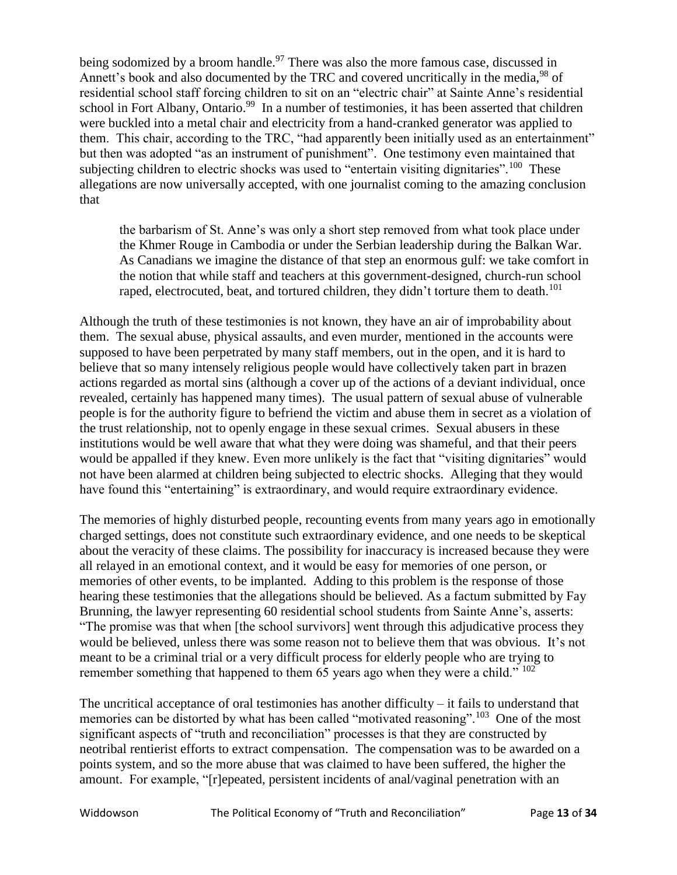being sodomized by a broom handle.<sup>97</sup> There was also the more famous case, discussed in Annett's book and also documented by the TRC and covered uncritically in the media,<sup>98</sup> of residential school staff forcing children to sit on an "electric chair" at Sainte Anne's residential school in Fort Albany, Ontario.<sup>99</sup> In a number of testimonies, it has been asserted that children were buckled into a metal chair and electricity from a hand-cranked generator was applied to them. This chair, according to the TRC, "had apparently been initially used as an entertainment" but then was adopted "as an instrument of punishment". One testimony even maintained that subjecting children to electric shocks was used to "entertain visiting dignitaries".<sup>100</sup> These allegations are now universally accepted, with one journalist coming to the amazing conclusion that

the barbarism of St. Anne's was only a short step removed from what took place under the Khmer Rouge in Cambodia or under the Serbian leadership during the Balkan War. As Canadians we imagine the distance of that step an enormous gulf: we take comfort in the notion that while staff and teachers at this government-designed, church-run school raped, electrocuted, beat, and tortured children, they didn't torture them to death.<sup>101</sup>

Although the truth of these testimonies is not known, they have an air of improbability about them. The sexual abuse, physical assaults, and even murder, mentioned in the accounts were supposed to have been perpetrated by many staff members, out in the open, and it is hard to believe that so many intensely religious people would have collectively taken part in brazen actions regarded as mortal sins (although a cover up of the actions of a deviant individual, once revealed, certainly has happened many times). The usual pattern of sexual abuse of vulnerable people is for the authority figure to befriend the victim and abuse them in secret as a violation of the trust relationship, not to openly engage in these sexual crimes. Sexual abusers in these institutions would be well aware that what they were doing was shameful, and that their peers would be appalled if they knew. Even more unlikely is the fact that "visiting dignitaries" would not have been alarmed at children being subjected to electric shocks. Alleging that they would have found this "entertaining" is extraordinary, and would require extraordinary evidence.

The memories of highly disturbed people, recounting events from many years ago in emotionally charged settings, does not constitute such extraordinary evidence, and one needs to be skeptical about the veracity of these claims. The possibility for inaccuracy is increased because they were all relayed in an emotional context, and it would be easy for memories of one person, or memories of other events, to be implanted. Adding to this problem is the response of those hearing these testimonies that the allegations should be believed. As a factum submitted by Fay Brunning, the lawyer representing 60 residential school students from Sainte Anne's, asserts: "The promise was that when [the school survivors] went through this adjudicative process they would be believed, unless there was some reason not to believe them that was obvious. It's not meant to be a criminal trial or a very difficult process for elderly people who are trying to remember something that happened to them 65 years ago when they were a child."  $102$ 

The uncritical acceptance of oral testimonies has another difficulty  $-$  it fails to understand that memories can be distorted by what has been called "motivated reasoning".<sup>103</sup> One of the most significant aspects of "truth and reconciliation" processes is that they are constructed by neotribal rentierist efforts to extract compensation. The compensation was to be awarded on a points system, and so the more abuse that was claimed to have been suffered, the higher the amount. For example, "[r]epeated, persistent incidents of anal/vaginal penetration with an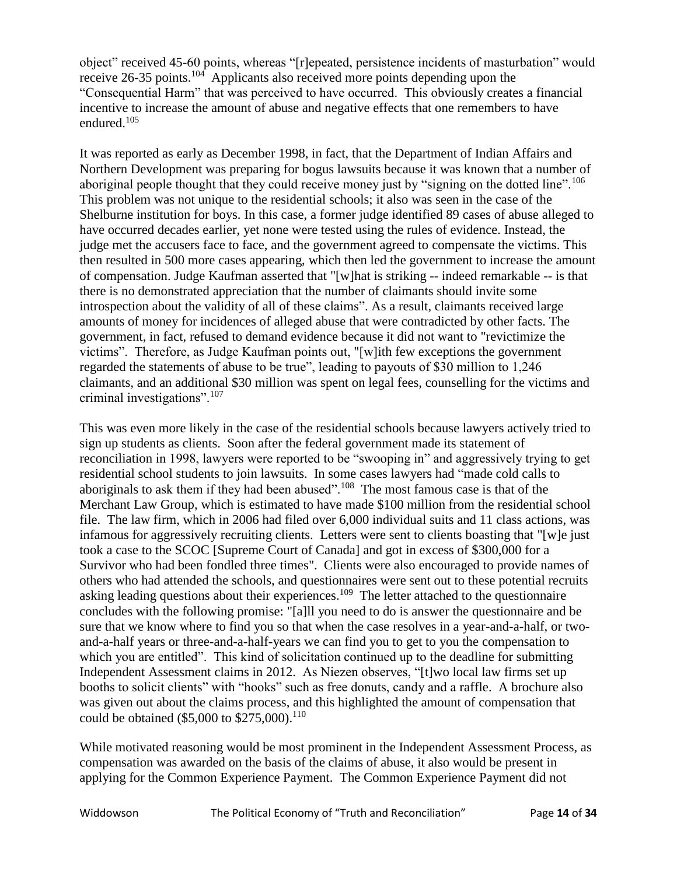object" received 45-60 points, whereas "[r]epeated, persistence incidents of masturbation" would receive 26-35 points.<sup>104</sup> Applicants also received more points depending upon the "Consequential Harm" that was perceived to have occurred. This obviously creates a financial incentive to increase the amount of abuse and negative effects that one remembers to have endured.<sup>105</sup>

It was reported as early as December 1998, in fact, that the Department of Indian Affairs and Northern Development was preparing for bogus lawsuits because it was known that a number of aboriginal people thought that they could receive money just by "signing on the dotted line".<sup>106</sup> This problem was not unique to the residential schools; it also was seen in the case of the Shelburne institution for boys. In this case, a former judge identified 89 cases of abuse alleged to have occurred decades earlier, yet none were tested using the rules of evidence. Instead, the judge met the accusers face to face, and the government agreed to compensate the victims. This then resulted in 500 more cases appearing, which then led the government to increase the amount of compensation. Judge Kaufman asserted that "[w]hat is striking -- indeed remarkable -- is that there is no demonstrated appreciation that the number of claimants should invite some introspection about the validity of all of these claims". As a result, claimants received large amounts of money for incidences of alleged abuse that were contradicted by other facts. The government, in fact, refused to demand evidence because it did not want to "revictimize the victims". Therefore, as Judge Kaufman points out, "[w]ith few exceptions the government regarded the statements of abuse to be true", leading to payouts of \$30 million to 1,246 claimants, and an additional \$30 million was spent on legal fees, counselling for the victims and criminal investigations".<sup>107</sup>

This was even more likely in the case of the residential schools because lawyers actively tried to sign up students as clients. Soon after the federal government made its statement of reconciliation in 1998, lawyers were reported to be "swooping in" and aggressively trying to get residential school students to join lawsuits. In some cases lawyers had "made cold calls to aboriginals to ask them if they had been abused".<sup>108</sup> The most famous case is that of the Merchant Law Group, which is estimated to have made \$100 million from the residential school file. The law firm, which in 2006 had filed over 6,000 individual suits and 11 class actions, was infamous for aggressively recruiting clients. Letters were sent to clients boasting that "[w]e just took a case to the SCOC [Supreme Court of Canada] and got in excess of \$300,000 for a Survivor who had been fondled three times". Clients were also encouraged to provide names of others who had attended the schools, and questionnaires were sent out to these potential recruits asking leading questions about their experiences.<sup>109</sup> The letter attached to the questionnaire concludes with the following promise: "[a]ll you need to do is answer the questionnaire and be sure that we know where to find you so that when the case resolves in a year-and-a-half, or twoand-a-half years or three-and-a-half-years we can find you to get to you the compensation to which you are entitled". This kind of solicitation continued up to the deadline for submitting Independent Assessment claims in 2012. As Niezen observes, "[t]wo local law firms set up booths to solicit clients" with "hooks" such as free donuts, candy and a raffle. A brochure also was given out about the claims process, and this highlighted the amount of compensation that could be obtained (\$5,000 to \$275,000).<sup>110</sup>

While motivated reasoning would be most prominent in the Independent Assessment Process, as compensation was awarded on the basis of the claims of abuse, it also would be present in applying for the Common Experience Payment. The Common Experience Payment did not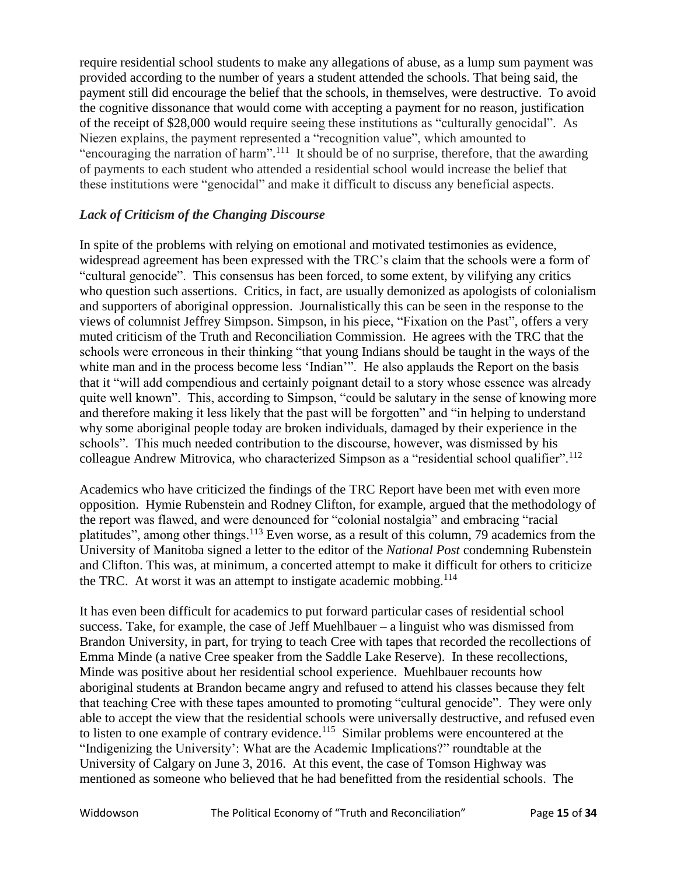require residential school students to make any allegations of abuse, as a lump sum payment was provided according to the number of years a student attended the schools. That being said, the payment still did encourage the belief that the schools, in themselves, were destructive. To avoid the cognitive dissonance that would come with accepting a payment for no reason, justification of the receipt of \$28,000 would require seeing these institutions as "culturally genocidal". As Niezen explains, the payment represented a "recognition value", which amounted to "encouraging the narration of harm".<sup>111</sup> It should be of no surprise, therefore, that the awarding of payments to each student who attended a residential school would increase the belief that these institutions were "genocidal" and make it difficult to discuss any beneficial aspects.

## *Lack of Criticism of the Changing Discourse*

In spite of the problems with relying on emotional and motivated testimonies as evidence, widespread agreement has been expressed with the TRC's claim that the schools were a form of "cultural genocide". This consensus has been forced, to some extent, by vilifying any critics who question such assertions. Critics, in fact, are usually demonized as apologists of colonialism and supporters of aboriginal oppression. Journalistically this can be seen in the response to the views of columnist Jeffrey Simpson. Simpson, in his piece, "Fixation on the Past", offers a very muted criticism of the Truth and Reconciliation Commission. He agrees with the TRC that the schools were erroneous in their thinking "that young Indians should be taught in the ways of the white man and in the process become less 'Indian'". He also applauds the Report on the basis that it "will add compendious and certainly poignant detail to a story whose essence was already quite well known". This, according to Simpson, "could be salutary in the sense of knowing more and therefore making it less likely that the past will be forgotten" and "in helping to understand why some aboriginal people today are broken individuals, damaged by their experience in the schools". This much needed contribution to the discourse, however, was dismissed by his colleague Andrew Mitrovica, who characterized Simpson as a "residential school qualifier".<sup>112</sup>

Academics who have criticized the findings of the TRC Report have been met with even more opposition. Hymie Rubenstein and Rodney Clifton, for example, argued that the methodology of the report was flawed, and were denounced for "colonial nostalgia" and embracing "racial platitudes", among other things.<sup>113</sup> Even worse, as a result of this column, 79 academics from the University of Manitoba signed a letter to the editor of the *National Post* condemning Rubenstein and Clifton. This was, at minimum, a concerted attempt to make it difficult for others to criticize the TRC. At worst it was an attempt to instigate academic mobbing.<sup>114</sup>

It has even been difficult for academics to put forward particular cases of residential school success. Take, for example, the case of Jeff Muehlbauer – a linguist who was dismissed from Brandon University, in part, for trying to teach Cree with tapes that recorded the recollections of Emma Minde (a native Cree speaker from the Saddle Lake Reserve). In these recollections, Minde was positive about her residential school experience. Muehlbauer recounts how aboriginal students at Brandon became angry and refused to attend his classes because they felt that teaching Cree with these tapes amounted to promoting "cultural genocide". They were only able to accept the view that the residential schools were universally destructive, and refused even to listen to one example of contrary evidence.<sup>115</sup> Similar problems were encountered at the "Indigenizing the University': What are the Academic Implications?" roundtable at the University of Calgary on June 3, 2016. At this event, the case of Tomson Highway was mentioned as someone who believed that he had benefitted from the residential schools. The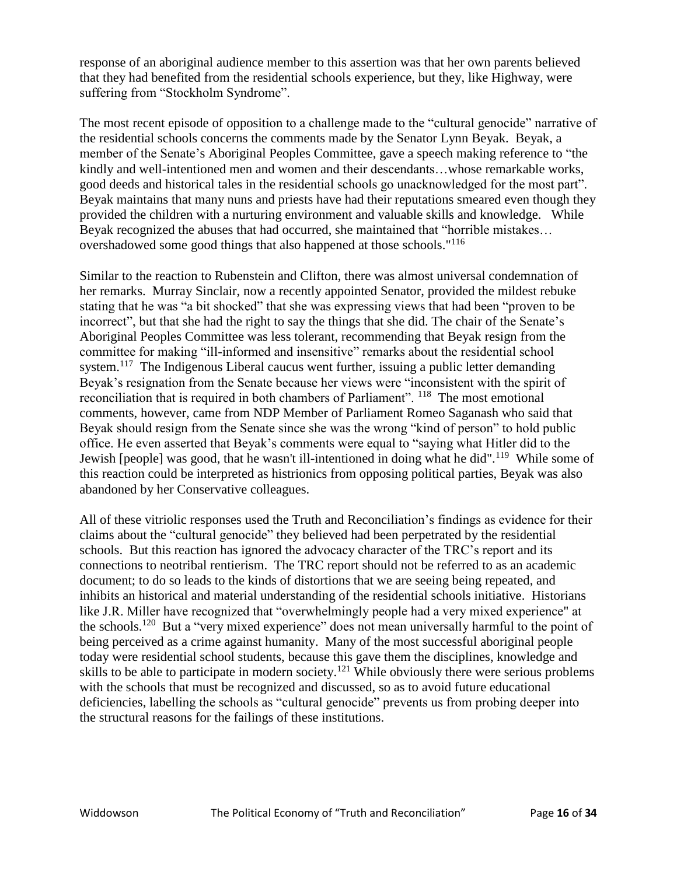response of an aboriginal audience member to this assertion was that her own parents believed that they had benefited from the residential schools experience, but they, like Highway, were suffering from "Stockholm Syndrome".

The most recent episode of opposition to a challenge made to the "cultural genocide" narrative of the residential schools concerns the comments made by the Senator Lynn Beyak. Beyak, a member of the Senate's Aboriginal Peoples Committee, gave a speech making reference to "the kindly and well-intentioned men and women and their descendants…whose remarkable works, good deeds and historical tales in the residential schools go unacknowledged for the most part". Beyak maintains that many nuns and priests have had their reputations smeared even though they provided the children with a nurturing environment and valuable skills and knowledge. While Beyak recognized the abuses that had occurred, she maintained that "horrible mistakes… overshadowed some good things that also happened at those schools."<sup>116</sup>

Similar to the reaction to Rubenstein and Clifton, there was almost universal condemnation of her remarks. Murray Sinclair, now a recently appointed Senator, provided the mildest rebuke stating that he was "a bit shocked" that she was expressing views that had been "proven to be incorrect", but that she had the right to say the things that she did. The chair of the Senate's Aboriginal Peoples Committee was less tolerant, recommending that Beyak resign from the committee for making "ill-informed and insensitive" remarks about the residential school system.<sup>117</sup> The Indigenous Liberal caucus went further, issuing a public letter demanding Beyak's resignation from the Senate because her views were "inconsistent with the spirit of reconciliation that is required in both chambers of Parliament". <sup>118</sup> The most emotional comments, however, came from NDP Member of Parliament Romeo Saganash who said that Beyak should resign from the Senate since she was the wrong "kind of person" to hold public office. He even asserted that Beyak's comments were equal to "saying what Hitler did to the Jewish [people] was good, that he wasn't ill-intentioned in doing what he did".<sup>119</sup> While some of this reaction could be interpreted as histrionics from opposing political parties, Beyak was also abandoned by her Conservative colleagues.

All of these vitriolic responses used the Truth and Reconciliation's findings as evidence for their claims about the "cultural genocide" they believed had been perpetrated by the residential schools. But this reaction has ignored the advocacy character of the TRC's report and its connections to neotribal rentierism. The TRC report should not be referred to as an academic document; to do so leads to the kinds of distortions that we are seeing being repeated, and inhibits an historical and material understanding of the residential schools initiative. Historians like J.R. Miller have recognized that "overwhelmingly people had a very mixed experience" at the schools.<sup>120</sup> But a "very mixed experience" does not mean universally harmful to the point of being perceived as a crime against humanity. Many of the most successful aboriginal people today were residential school students, because this gave them the disciplines, knowledge and skills to be able to participate in modern society.<sup>121</sup> While obviously there were serious problems with the schools that must be recognized and discussed, so as to avoid future educational deficiencies, labelling the schools as "cultural genocide" prevents us from probing deeper into the structural reasons for the failings of these institutions.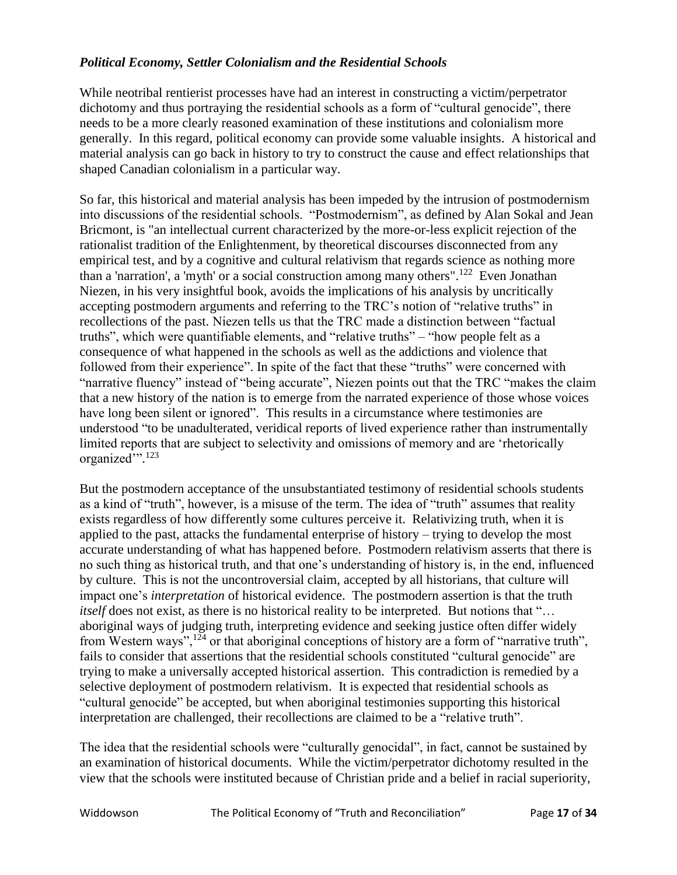### *Political Economy, Settler Colonialism and the Residential Schools*

While neotribal rentierist processes have had an interest in constructing a victim/perpetrator dichotomy and thus portraying the residential schools as a form of "cultural genocide", there needs to be a more clearly reasoned examination of these institutions and colonialism more generally. In this regard, political economy can provide some valuable insights. A historical and material analysis can go back in history to try to construct the cause and effect relationships that shaped Canadian colonialism in a particular way.

So far, this historical and material analysis has been impeded by the intrusion of postmodernism into discussions of the residential schools. "Postmodernism", as defined by Alan Sokal and Jean Bricmont, is "an intellectual current characterized by the more-or-less explicit rejection of the rationalist tradition of the Enlightenment, by theoretical discourses disconnected from any empirical test, and by a cognitive and cultural relativism that regards science as nothing more than a 'narration', a 'myth' or a social construction among many others".<sup>122</sup> Even Jonathan Niezen, in his very insightful book, avoids the implications of his analysis by uncritically accepting postmodern arguments and referring to the TRC's notion of "relative truths" in recollections of the past. Niezen tells us that the TRC made a distinction between "factual truths", which were quantifiable elements, and "relative truths" – "how people felt as a consequence of what happened in the schools as well as the addictions and violence that followed from their experience". In spite of the fact that these "truths" were concerned with "narrative fluency" instead of "being accurate", Niezen points out that the TRC "makes the claim that a new history of the nation is to emerge from the narrated experience of those whose voices have long been silent or ignored". This results in a circumstance where testimonies are understood "to be unadulterated, veridical reports of lived experience rather than instrumentally limited reports that are subject to selectivity and omissions of memory and are 'rhetorically organized'". 123

But the postmodern acceptance of the unsubstantiated testimony of residential schools students as a kind of "truth", however, is a misuse of the term. The idea of "truth" assumes that reality exists regardless of how differently some cultures perceive it. Relativizing truth, when it is applied to the past, attacks the fundamental enterprise of history – trying to develop the most accurate understanding of what has happened before. Postmodern relativism asserts that there is no such thing as historical truth, and that one's understanding of history is, in the end, influenced by culture. This is not the uncontroversial claim, accepted by all historians, that culture will impact one's *interpretation* of historical evidence. The postmodern assertion is that the truth *itself* does not exist, as there is no historical reality to be interpreted. But notions that "... aboriginal ways of judging truth, interpreting evidence and seeking justice often differ widely from Western ways",<sup>124</sup> or that aboriginal conceptions of history are a form of "narrative truth", fails to consider that assertions that the residential schools constituted "cultural genocide" are trying to make a universally accepted historical assertion. This contradiction is remedied by a selective deployment of postmodern relativism. It is expected that residential schools as "cultural genocide" be accepted, but when aboriginal testimonies supporting this historical interpretation are challenged, their recollections are claimed to be a "relative truth".

The idea that the residential schools were "culturally genocidal", in fact, cannot be sustained by an examination of historical documents. While the victim/perpetrator dichotomy resulted in the view that the schools were instituted because of Christian pride and a belief in racial superiority,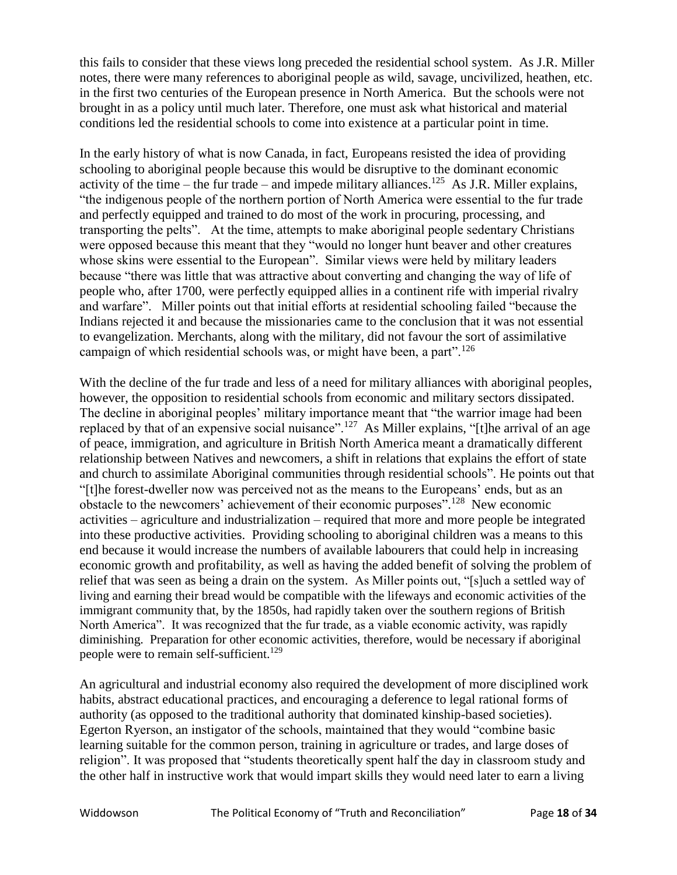this fails to consider that these views long preceded the residential school system. As J.R. Miller notes, there were many references to aboriginal people as wild, savage, uncivilized, heathen, etc. in the first two centuries of the European presence in North America. But the schools were not brought in as a policy until much later. Therefore, one must ask what historical and material conditions led the residential schools to come into existence at a particular point in time.

In the early history of what is now Canada, in fact, Europeans resisted the idea of providing schooling to aboriginal people because this would be disruptive to the dominant economic activity of the time – the fur trade – and impede military alliances.<sup>125</sup> As J.R. Miller explains, "the indigenous people of the northern portion of North America were essential to the fur trade and perfectly equipped and trained to do most of the work in procuring, processing, and transporting the pelts". At the time, attempts to make aboriginal people sedentary Christians were opposed because this meant that they "would no longer hunt beaver and other creatures whose skins were essential to the European". Similar views were held by military leaders because "there was little that was attractive about converting and changing the way of life of people who, after 1700, were perfectly equipped allies in a continent rife with imperial rivalry and warfare". Miller points out that initial efforts at residential schooling failed "because the Indians rejected it and because the missionaries came to the conclusion that it was not essential to evangelization. Merchants, along with the military, did not favour the sort of assimilative campaign of which residential schools was, or might have been, a part".<sup>126</sup>

With the decline of the fur trade and less of a need for military alliances with aboriginal peoples, however, the opposition to residential schools from economic and military sectors dissipated. The decline in aboriginal peoples' military importance meant that "the warrior image had been replaced by that of an expensive social nuisance".<sup>127</sup> As Miller explains, "[t]he arrival of an age of peace, immigration, and agriculture in British North America meant a dramatically different relationship between Natives and newcomers, a shift in relations that explains the effort of state and church to assimilate Aboriginal communities through residential schools". He points out that "[t]he forest-dweller now was perceived not as the means to the Europeans' ends, but as an obstacle to the newcomers' achievement of their economic purposes".<sup>128</sup> New economic activities – agriculture and industrialization – required that more and more people be integrated into these productive activities. Providing schooling to aboriginal children was a means to this end because it would increase the numbers of available labourers that could help in increasing economic growth and profitability, as well as having the added benefit of solving the problem of relief that was seen as being a drain on the system. As Miller points out, "[s]uch a settled way of living and earning their bread would be compatible with the lifeways and economic activities of the immigrant community that, by the 1850s, had rapidly taken over the southern regions of British North America". It was recognized that the fur trade, as a viable economic activity, was rapidly diminishing. Preparation for other economic activities, therefore, would be necessary if aboriginal people were to remain self-sufficient.<sup>129</sup>

An agricultural and industrial economy also required the development of more disciplined work habits, abstract educational practices, and encouraging a deference to legal rational forms of authority (as opposed to the traditional authority that dominated kinship-based societies). Egerton Ryerson, an instigator of the schools, maintained that they would "combine basic learning suitable for the common person, training in agriculture or trades, and large doses of religion". It was proposed that "students theoretically spent half the day in classroom study and the other half in instructive work that would impart skills they would need later to earn a living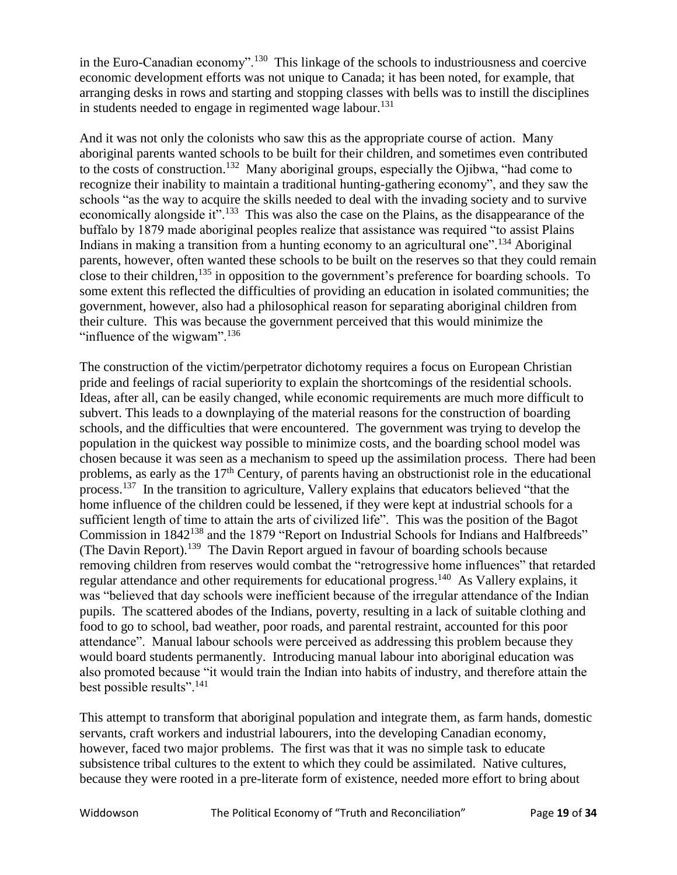in the Euro-Canadian economy".<sup>130</sup> This linkage of the schools to industriousness and coercive economic development efforts was not unique to Canada; it has been noted, for example, that arranging desks in rows and starting and stopping classes with bells was to instill the disciplines in students needed to engage in regimented wage labour.<sup>131</sup>

And it was not only the colonists who saw this as the appropriate course of action. Many aboriginal parents wanted schools to be built for their children, and sometimes even contributed to the costs of construction.<sup>132</sup> Many aboriginal groups, especially the Ojibwa, "had come to recognize their inability to maintain a traditional hunting-gathering economy", and they saw the schools "as the way to acquire the skills needed to deal with the invading society and to survive economically alongside it".<sup>133</sup> This was also the case on the Plains, as the disappearance of the buffalo by 1879 made aboriginal peoples realize that assistance was required "to assist Plains Indians in making a transition from a hunting economy to an agricultural one".<sup>134</sup> Aboriginal parents, however, often wanted these schools to be built on the reserves so that they could remain close to their children,<sup>135</sup> in opposition to the government's preference for boarding schools. To some extent this reflected the difficulties of providing an education in isolated communities; the government, however, also had a philosophical reason for separating aboriginal children from their culture. This was because the government perceived that this would minimize the "influence of the wigwam". $136$ 

The construction of the victim/perpetrator dichotomy requires a focus on European Christian pride and feelings of racial superiority to explain the shortcomings of the residential schools. Ideas, after all, can be easily changed, while economic requirements are much more difficult to subvert. This leads to a downplaying of the material reasons for the construction of boarding schools, and the difficulties that were encountered. The government was trying to develop the population in the quickest way possible to minimize costs, and the boarding school model was chosen because it was seen as a mechanism to speed up the assimilation process. There had been problems, as early as the 17<sup>th</sup> Century, of parents having an obstructionist role in the educational process.<sup>137</sup> In the transition to agriculture, Vallery explains that educators believed "that the home influence of the children could be lessened, if they were kept at industrial schools for a sufficient length of time to attain the arts of civilized life". This was the position of the Bagot Commission in 1842<sup>138</sup> and the 1879 "Report on Industrial Schools for Indians and Halfbreeds" (The Davin Report).<sup>139</sup> The Davin Report argued in favour of boarding schools because removing children from reserves would combat the "retrogressive home influences" that retarded regular attendance and other requirements for educational progress.<sup>140</sup> As Vallery explains, it was "believed that day schools were inefficient because of the irregular attendance of the Indian pupils. The scattered abodes of the Indians, poverty, resulting in a lack of suitable clothing and food to go to school, bad weather, poor roads, and parental restraint, accounted for this poor attendance". Manual labour schools were perceived as addressing this problem because they would board students permanently. Introducing manual labour into aboriginal education was also promoted because "it would train the Indian into habits of industry, and therefore attain the best possible results".<sup>141</sup>

This attempt to transform that aboriginal population and integrate them, as farm hands, domestic servants, craft workers and industrial labourers, into the developing Canadian economy, however, faced two major problems. The first was that it was no simple task to educate subsistence tribal cultures to the extent to which they could be assimilated. Native cultures, because they were rooted in a pre-literate form of existence, needed more effort to bring about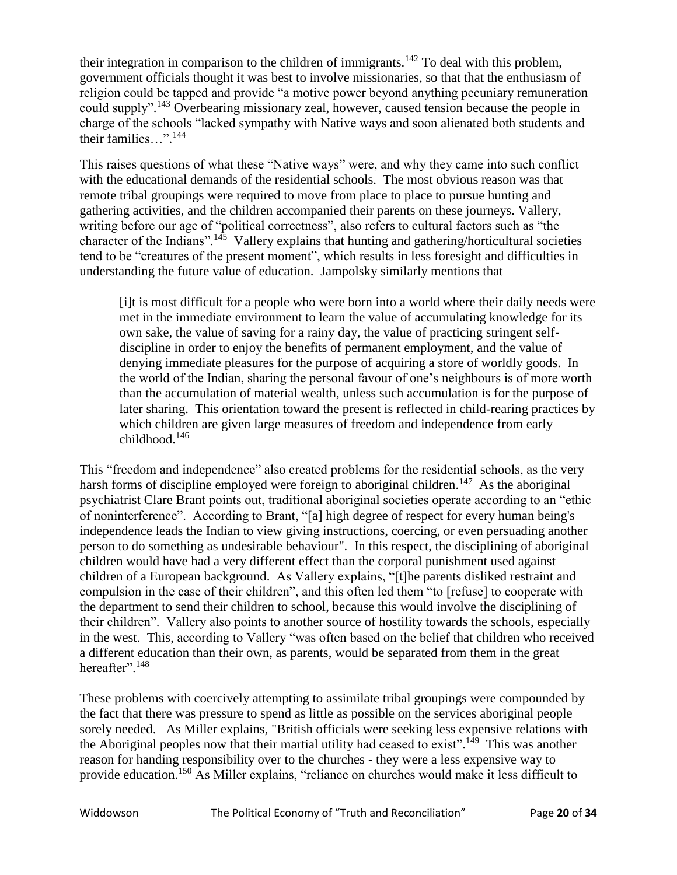their integration in comparison to the children of immigrants.<sup>142</sup> To deal with this problem, government officials thought it was best to involve missionaries, so that that the enthusiasm of religion could be tapped and provide "a motive power beyond anything pecuniary remuneration could supply".<sup>143</sup> Overbearing missionary zeal, however, caused tension because the people in charge of the schools "lacked sympathy with Native ways and soon alienated both students and their families…". 144

This raises questions of what these "Native ways" were, and why they came into such conflict with the educational demands of the residential schools. The most obvious reason was that remote tribal groupings were required to move from place to place to pursue hunting and gathering activities, and the children accompanied their parents on these journeys. Vallery, writing before our age of "political correctness", also refers to cultural factors such as "the character of the Indians".<sup>145</sup> Vallery explains that hunting and gathering/horticultural societies tend to be "creatures of the present moment", which results in less foresight and difficulties in understanding the future value of education. Jampolsky similarly mentions that

[i]t is most difficult for a people who were born into a world where their daily needs were met in the immediate environment to learn the value of accumulating knowledge for its own sake, the value of saving for a rainy day, the value of practicing stringent selfdiscipline in order to enjoy the benefits of permanent employment, and the value of denying immediate pleasures for the purpose of acquiring a store of worldly goods. In the world of the Indian, sharing the personal favour of one's neighbours is of more worth than the accumulation of material wealth, unless such accumulation is for the purpose of later sharing. This orientation toward the present is reflected in child-rearing practices by which children are given large measures of freedom and independence from early childhood.<sup>146</sup>

This "freedom and independence" also created problems for the residential schools, as the very harsh forms of discipline employed were foreign to aboriginal children.<sup>147</sup> As the aboriginal psychiatrist Clare Brant points out, traditional aboriginal societies operate according to an "ethic of noninterference". According to Brant, "[a] high degree of respect for every human being's independence leads the Indian to view giving instructions, coercing, or even persuading another person to do something as undesirable behaviour". In this respect, the disciplining of aboriginal children would have had a very different effect than the corporal punishment used against children of a European background. As Vallery explains, "[t]he parents disliked restraint and compulsion in the case of their children", and this often led them "to [refuse] to cooperate with the department to send their children to school, because this would involve the disciplining of their children". Vallery also points to another source of hostility towards the schools, especially in the west. This, according to Vallery "was often based on the belief that children who received a different education than their own, as parents, would be separated from them in the great hereafter".<sup>148</sup>

These problems with coercively attempting to assimilate tribal groupings were compounded by the fact that there was pressure to spend as little as possible on the services aboriginal people sorely needed. As Miller explains, "British officials were seeking less expensive relations with the Aboriginal peoples now that their martial utility had ceased to exist".<sup>149</sup> This was another reason for handing responsibility over to the churches - they were a less expensive way to provide education.<sup>150</sup> As Miller explains, "reliance on churches would make it less difficult to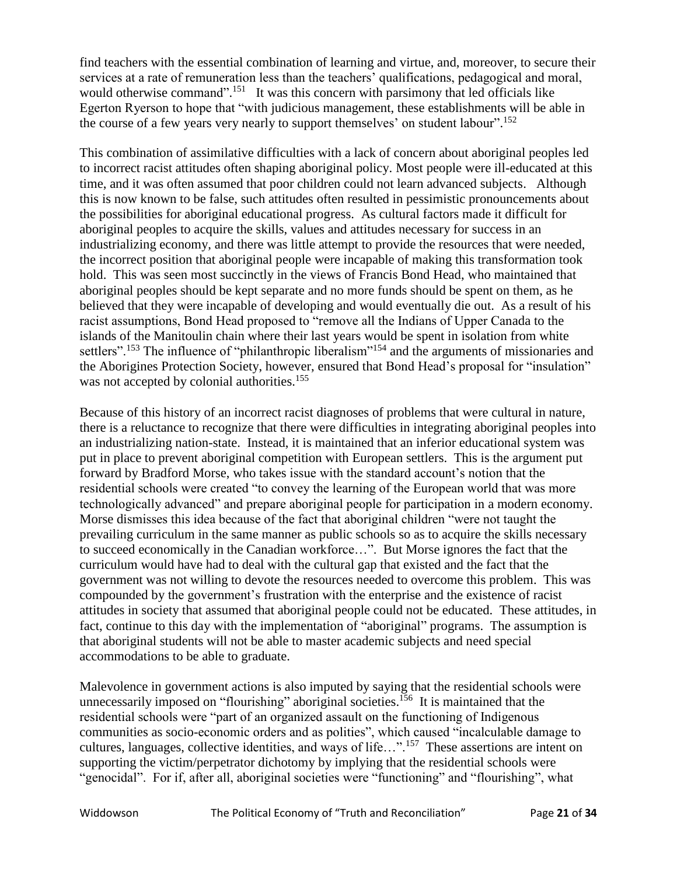find teachers with the essential combination of learning and virtue, and, moreover, to secure their services at a rate of remuneration less than the teachers' qualifications, pedagogical and moral, would otherwise command".<sup>151</sup> It was this concern with parsimony that led officials like Egerton Ryerson to hope that "with judicious management, these establishments will be able in the course of a few years very nearly to support themselves' on student labour". 152

This combination of assimilative difficulties with a lack of concern about aboriginal peoples led to incorrect racist attitudes often shaping aboriginal policy. Most people were ill-educated at this time, and it was often assumed that poor children could not learn advanced subjects. Although this is now known to be false, such attitudes often resulted in pessimistic pronouncements about the possibilities for aboriginal educational progress. As cultural factors made it difficult for aboriginal peoples to acquire the skills, values and attitudes necessary for success in an industrializing economy, and there was little attempt to provide the resources that were needed, the incorrect position that aboriginal people were incapable of making this transformation took hold. This was seen most succinctly in the views of Francis Bond Head, who maintained that aboriginal peoples should be kept separate and no more funds should be spent on them, as he believed that they were incapable of developing and would eventually die out. As a result of his racist assumptions, Bond Head proposed to "remove all the Indians of Upper Canada to the islands of the Manitoulin chain where their last years would be spent in isolation from white settlers".<sup>153</sup> The influence of "philanthropic liberalism"<sup>154</sup> and the arguments of missionaries and the Aborigines Protection Society, however, ensured that Bond Head's proposal for "insulation" was not accepted by colonial authorities.<sup>155</sup>

Because of this history of an incorrect racist diagnoses of problems that were cultural in nature, there is a reluctance to recognize that there were difficulties in integrating aboriginal peoples into an industrializing nation-state. Instead, it is maintained that an inferior educational system was put in place to prevent aboriginal competition with European settlers. This is the argument put forward by Bradford Morse, who takes issue with the standard account's notion that the residential schools were created "to convey the learning of the European world that was more technologically advanced" and prepare aboriginal people for participation in a modern economy. Morse dismisses this idea because of the fact that aboriginal children "were not taught the prevailing curriculum in the same manner as public schools so as to acquire the skills necessary to succeed economically in the Canadian workforce…". But Morse ignores the fact that the curriculum would have had to deal with the cultural gap that existed and the fact that the government was not willing to devote the resources needed to overcome this problem. This was compounded by the government's frustration with the enterprise and the existence of racist attitudes in society that assumed that aboriginal people could not be educated. These attitudes, in fact, continue to this day with the implementation of "aboriginal" programs. The assumption is that aboriginal students will not be able to master academic subjects and need special accommodations to be able to graduate.

Malevolence in government actions is also imputed by saying that the residential schools were unnecessarily imposed on "flourishing" aboriginal societies.<sup>156</sup> It is maintained that the residential schools were "part of an organized assault on the functioning of Indigenous communities as socio-economic orders and as polities", which caused "incalculable damage to cultures, languages, collective identities, and ways of life...".<sup>157</sup> These assertions are intent on supporting the victim/perpetrator dichotomy by implying that the residential schools were "genocidal". For if, after all, aboriginal societies were "functioning" and "flourishing", what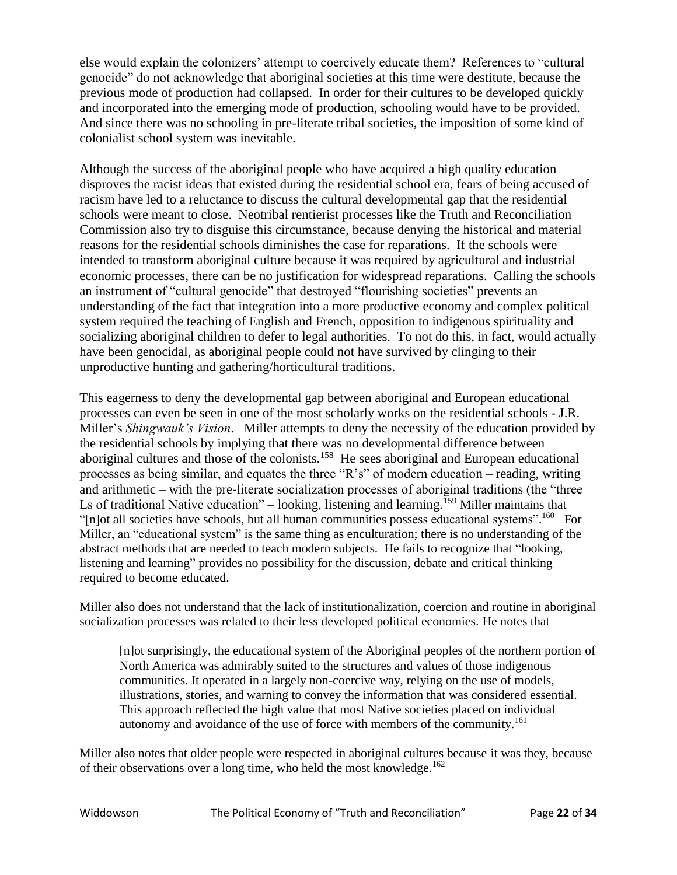else would explain the colonizers' attempt to coercively educate them? References to "cultural genocide" do not acknowledge that aboriginal societies at this time were destitute, because the previous mode of production had collapsed. In order for their cultures to be developed quickly and incorporated into the emerging mode of production, schooling would have to be provided. And since there was no schooling in pre-literate tribal societies, the imposition of some kind of colonialist school system was inevitable.

Although the success of the aboriginal people who have acquired a high quality education disproves the racist ideas that existed during the residential school era, fears of being accused of racism have led to a reluctance to discuss the cultural developmental gap that the residential schools were meant to close. Neotribal rentierist processes like the Truth and Reconciliation Commission also try to disguise this circumstance, because denying the historical and material reasons for the residential schools diminishes the case for reparations. If the schools were intended to transform aboriginal culture because it was required by agricultural and industrial economic processes, there can be no justification for widespread reparations. Calling the schools an instrument of "cultural genocide" that destroyed "flourishing societies" prevents an understanding of the fact that integration into a more productive economy and complex political system required the teaching of English and French, opposition to indigenous spirituality and socializing aboriginal children to defer to legal authorities. To not do this, in fact, would actually have been genocidal, as aboriginal people could not have survived by clinging to their unproductive hunting and gathering/horticultural traditions.

This eagerness to deny the developmental gap between aboriginal and European educational processes can even be seen in one of the most scholarly works on the residential schools - J.R. Miller's *Shingwauk's Vision*. Miller attempts to deny the necessity of the education provided by the residential schools by implying that there was no developmental difference between aboriginal cultures and those of the colonists.<sup>158</sup> He sees aboriginal and European educational processes as being similar, and equates the three "R's" of modern education – reading, writing and arithmetic – with the pre-literate socialization processes of aboriginal traditions (the "three Ls of traditional Native education" – looking, listening and learning.<sup>159</sup> Miller maintains that "[n]ot all societies have schools, but all human communities possess educational systems".<sup>160</sup> For Miller, an "educational system" is the same thing as enculturation; there is no understanding of the abstract methods that are needed to teach modern subjects. He fails to recognize that "looking, listening and learning" provides no possibility for the discussion, debate and critical thinking required to become educated.

Miller also does not understand that the lack of institutionalization, coercion and routine in aboriginal socialization processes was related to their less developed political economies. He notes that

[n]ot surprisingly, the educational system of the Aboriginal peoples of the northern portion of North America was admirably suited to the structures and values of those indigenous communities. It operated in a largely non-coercive way, relying on the use of models, illustrations, stories, and warning to convey the information that was considered essential. This approach reflected the high value that most Native societies placed on individual autonomy and avoidance of the use of force with members of the community.<sup>161</sup>

Miller also notes that older people were respected in aboriginal cultures because it was they, because of their observations over a long time, who held the most knowledge.<sup>162</sup>

Widdowson The Political Economy of "Truth and Reconciliation" Page **22** of **34**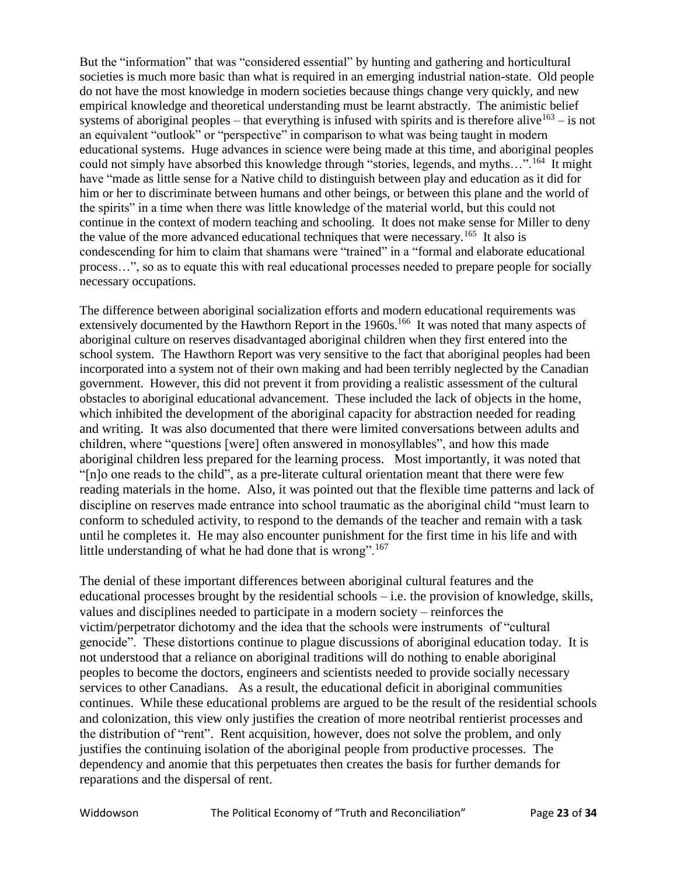But the "information" that was "considered essential" by hunting and gathering and horticultural societies is much more basic than what is required in an emerging industrial nation-state. Old people do not have the most knowledge in modern societies because things change very quickly, and new empirical knowledge and theoretical understanding must be learnt abstractly. The animistic belief systems of aboriginal peoples – that everything is infused with spirits and is therefore alive<sup>163</sup> – is not an equivalent "outlook" or "perspective" in comparison to what was being taught in modern educational systems. Huge advances in science were being made at this time, and aboriginal peoples could not simply have absorbed this knowledge through "stories, legends, and myths...".<sup>164</sup> It might have "made as little sense for a Native child to distinguish between play and education as it did for him or her to discriminate between humans and other beings, or between this plane and the world of the spirits" in a time when there was little knowledge of the material world, but this could not continue in the context of modern teaching and schooling. It does not make sense for Miller to deny the value of the more advanced educational techniques that were necessary.<sup>165</sup> It also is condescending for him to claim that shamans were "trained" in a "formal and elaborate educational process…", so as to equate this with real educational processes needed to prepare people for socially necessary occupations.

The difference between aboriginal socialization efforts and modern educational requirements was extensively documented by the Hawthorn Report in the 1960s.<sup>166</sup> It was noted that many aspects of aboriginal culture on reserves disadvantaged aboriginal children when they first entered into the school system. The Hawthorn Report was very sensitive to the fact that aboriginal peoples had been incorporated into a system not of their own making and had been terribly neglected by the Canadian government. However, this did not prevent it from providing a realistic assessment of the cultural obstacles to aboriginal educational advancement. These included the lack of objects in the home, which inhibited the development of the aboriginal capacity for abstraction needed for reading and writing. It was also documented that there were limited conversations between adults and children, where "questions [were] often answered in monosyllables", and how this made aboriginal children less prepared for the learning process. Most importantly, it was noted that "[n]o one reads to the child", as a pre-literate cultural orientation meant that there were few reading materials in the home. Also, it was pointed out that the flexible time patterns and lack of discipline on reserves made entrance into school traumatic as the aboriginal child "must learn to conform to scheduled activity, to respond to the demands of the teacher and remain with a task until he completes it. He may also encounter punishment for the first time in his life and with little understanding of what he had done that is wrong".<sup>167</sup>

The denial of these important differences between aboriginal cultural features and the educational processes brought by the residential schools  $-$  i.e. the provision of knowledge, skills, values and disciplines needed to participate in a modern society – reinforces the victim/perpetrator dichotomy and the idea that the schools were instruments of "cultural genocide". These distortions continue to plague discussions of aboriginal education today. It is not understood that a reliance on aboriginal traditions will do nothing to enable aboriginal peoples to become the doctors, engineers and scientists needed to provide socially necessary services to other Canadians. As a result, the educational deficit in aboriginal communities continues. While these educational problems are argued to be the result of the residential schools and colonization, this view only justifies the creation of more neotribal rentierist processes and the distribution of "rent". Rent acquisition, however, does not solve the problem, and only justifies the continuing isolation of the aboriginal people from productive processes. The dependency and anomie that this perpetuates then creates the basis for further demands for reparations and the dispersal of rent.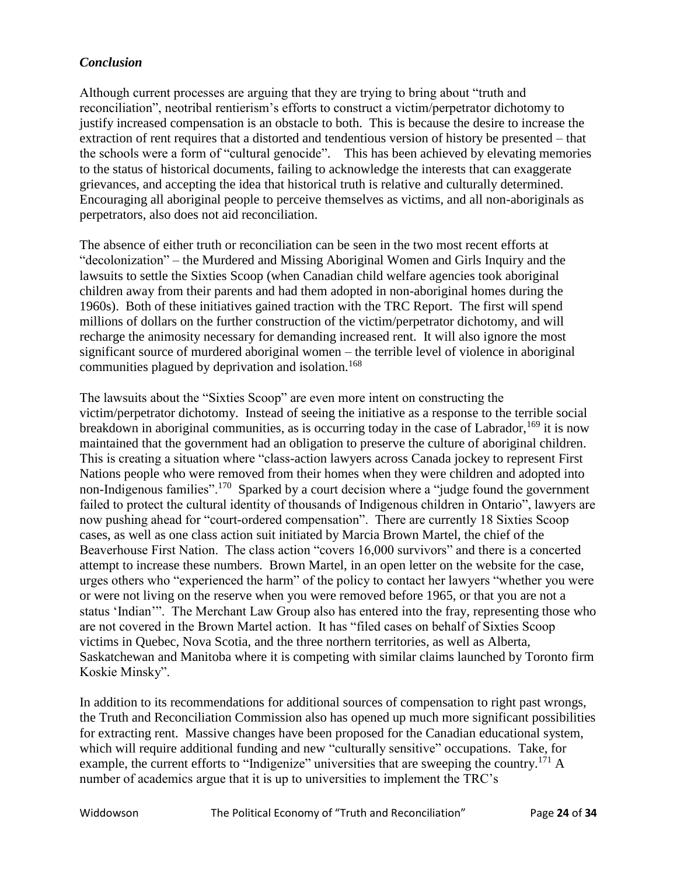### *Conclusion*

Although current processes are arguing that they are trying to bring about "truth and reconciliation", neotribal rentierism's efforts to construct a victim/perpetrator dichotomy to justify increased compensation is an obstacle to both. This is because the desire to increase the extraction of rent requires that a distorted and tendentious version of history be presented – that the schools were a form of "cultural genocide". This has been achieved by elevating memories to the status of historical documents, failing to acknowledge the interests that can exaggerate grievances, and accepting the idea that historical truth is relative and culturally determined. Encouraging all aboriginal people to perceive themselves as victims, and all non-aboriginals as perpetrators, also does not aid reconciliation.

The absence of either truth or reconciliation can be seen in the two most recent efforts at "decolonization" – the Murdered and Missing Aboriginal Women and Girls Inquiry and the lawsuits to settle the Sixties Scoop (when Canadian child welfare agencies took aboriginal children away from their parents and had them adopted in non-aboriginal homes during the 1960s). Both of these initiatives gained traction with the TRC Report. The first will spend millions of dollars on the further construction of the victim/perpetrator dichotomy, and will recharge the animosity necessary for demanding increased rent. It will also ignore the most significant source of murdered aboriginal women – the terrible level of violence in aboriginal communities plagued by deprivation and isolation.<sup>168</sup>

The lawsuits about the "Sixties Scoop" are even more intent on constructing the victim/perpetrator dichotomy. Instead of seeing the initiative as a response to the terrible social breakdown in aboriginal communities, as is occurring today in the case of Labrador,  $^{169}$  it is now maintained that the government had an obligation to preserve the culture of aboriginal children. This is creating a situation where "class-action lawyers across Canada jockey to represent First Nations people who were removed from their homes when they were children and adopted into non-Indigenous families".<sup>170</sup> Sparked by a court decision where a "judge found the government failed to protect the cultural identity of thousands of Indigenous children in Ontario", lawyers are now pushing ahead for "court-ordered compensation". There are currently 18 Sixties Scoop cases, as well as one class action suit initiated by Marcia Brown Martel, the chief of the Beaverhouse First Nation. The class action "covers 16,000 survivors" and there is a concerted attempt to increase these numbers. Brown Martel, in an open letter on the website for the case, urges others who "experienced the harm" of the policy to contact her lawyers "whether you were or were not living on the reserve when you were removed before 1965, or that you are not a status 'Indian'". The Merchant Law Group also has entered into the fray, representing those who are not covered in the Brown Martel action. It has "filed cases on behalf of Sixties Scoop victims in Quebec, Nova Scotia, and the three northern territories, as well as Alberta, Saskatchewan and Manitoba where it is competing with similar claims launched by Toronto firm Koskie Minsky".

In addition to its recommendations for additional sources of compensation to right past wrongs, the Truth and Reconciliation Commission also has opened up much more significant possibilities for extracting rent. Massive changes have been proposed for the Canadian educational system, which will require additional funding and new "culturally sensitive" occupations. Take, for example, the current efforts to "Indigenize" universities that are sweeping the country.<sup>171</sup> A number of academics argue that it is up to universities to implement the TRC's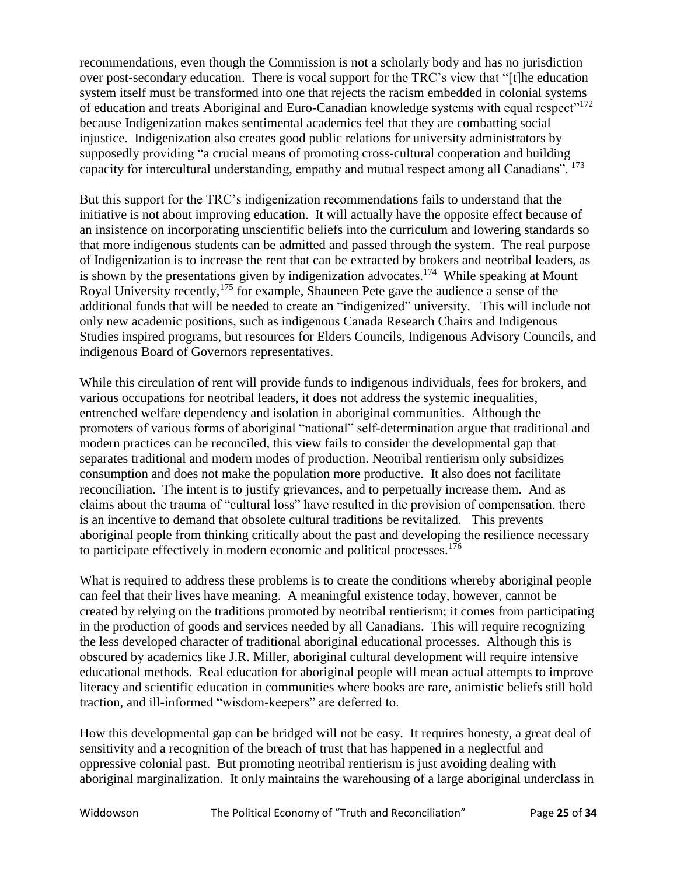recommendations, even though the Commission is not a scholarly body and has no jurisdiction over post-secondary education. There is vocal support for the TRC's view that "[t]he education system itself must be transformed into one that rejects the racism embedded in colonial systems of education and treats Aboriginal and Euro-Canadian knowledge systems with equal respect"<sup>172</sup> because Indigenization makes sentimental academics feel that they are combatting social injustice. Indigenization also creates good public relations for university administrators by supposedly providing "a crucial means of promoting cross-cultural cooperation and building capacity for intercultural understanding, empathy and mutual respect among all Canadians".<sup>173</sup>

But this support for the TRC's indigenization recommendations fails to understand that the initiative is not about improving education. It will actually have the opposite effect because of an insistence on incorporating unscientific beliefs into the curriculum and lowering standards so that more indigenous students can be admitted and passed through the system. The real purpose of Indigenization is to increase the rent that can be extracted by brokers and neotribal leaders, as is shown by the presentations given by indigenization advocates.<sup>174</sup> While speaking at Mount Royal University recently,<sup>175</sup> for example, Shauneen Pete gave the audience a sense of the additional funds that will be needed to create an "indigenized" university. This will include not only new academic positions, such as indigenous Canada Research Chairs and Indigenous Studies inspired programs, but resources for Elders Councils, Indigenous Advisory Councils, and indigenous Board of Governors representatives.

While this circulation of rent will provide funds to indigenous individuals, fees for brokers, and various occupations for neotribal leaders, it does not address the systemic inequalities, entrenched welfare dependency and isolation in aboriginal communities. Although the promoters of various forms of aboriginal "national" self-determination argue that traditional and modern practices can be reconciled, this view fails to consider the developmental gap that separates traditional and modern modes of production. Neotribal rentierism only subsidizes consumption and does not make the population more productive. It also does not facilitate reconciliation. The intent is to justify grievances, and to perpetually increase them. And as claims about the trauma of "cultural loss" have resulted in the provision of compensation, there is an incentive to demand that obsolete cultural traditions be revitalized. This prevents aboriginal people from thinking critically about the past and developing the resilience necessary to participate effectively in modern economic and political processes. 176

What is required to address these problems is to create the conditions whereby aboriginal people can feel that their lives have meaning. A meaningful existence today, however, cannot be created by relying on the traditions promoted by neotribal rentierism; it comes from participating in the production of goods and services needed by all Canadians. This will require recognizing the less developed character of traditional aboriginal educational processes. Although this is obscured by academics like J.R. Miller, aboriginal cultural development will require intensive educational methods. Real education for aboriginal people will mean actual attempts to improve literacy and scientific education in communities where books are rare, animistic beliefs still hold traction, and ill-informed "wisdom-keepers" are deferred to.

How this developmental gap can be bridged will not be easy. It requires honesty, a great deal of sensitivity and a recognition of the breach of trust that has happened in a neglectful and oppressive colonial past. But promoting neotribal rentierism is just avoiding dealing with aboriginal marginalization. It only maintains the warehousing of a large aboriginal underclass in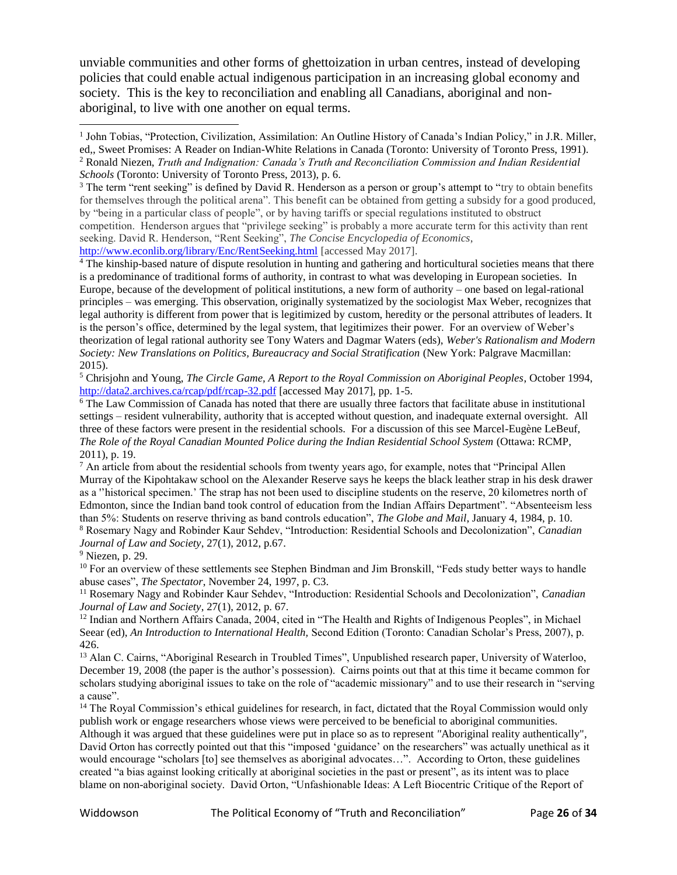unviable communities and other forms of ghettoization in urban centres, instead of developing policies that could enable actual indigenous participation in an increasing global economy and society. This is the key to reconciliation and enabling all Canadians, aboriginal and nonaboriginal, to live with one another on equal terms.

<sup>3</sup> The term "rent seeking" is defined by David R. Henderson as a person or group's attempt to "try to obtain benefits for themselves through the political arena". This benefit can be obtained from getting a subsidy for a good produced, by "being in a particular class of people", or by having tariffs or special regulations instituted to obstruct competition. Henderson argues that "privilege seeking" is probably a more accurate term for this activity than rent seeking. David R. Henderson, "Rent Seeking", *The Concise Encyclopedia of Economics*, <http://www.econlib.org/library/Enc/RentSeeking.html> [accessed May 2017].

<sup>4</sup> The kinship-based nature of dispute resolution in hunting and gathering and horticultural societies means that there is a predominance of traditional forms of authority, in contrast to what was developing in European societies. In Europe, because of the development of political institutions, a new form of authority – one based on legal-rational principles – was emerging. This observation, originally systematized by the sociologist Max Weber, recognizes that legal authority is different from power that is legitimized by custom, heredity or the personal attributes of leaders. It is the person's office, determined by the legal system, that legitimizes their power. For an overview of Weber's theorization of legal rational authority see Tony Waters and Dagmar Waters (eds), *Weber's Rationalism and Modern Society: New Translations on Politics, Bureaucracy and Social Stratification* (New York: Palgrave Macmillan: 2015).

<sup>5</sup> Chrisjohn and Young, *The Circle Game, A Report to the Royal Commission on Aboriginal Peoples*, October 1994, <http://data2.archives.ca/rcap/pdf/rcap-32.pdf> [accessed May 2017], pp. 1-5.

<sup>6</sup> The Law Commission of Canada has noted that there are usually three factors that facilitate abuse in institutional settings – resident vulnerability, authority that is accepted without question, and inadequate external oversight. All three of these factors were present in the residential schools. For a discussion of this see Marcel-Eugène LeBeuf, *The Role of the Royal Canadian Mounted Police during the Indian Residential School System* (Ottawa: RCMP, 2011), p. 19.

<sup>7</sup> An article from about the residential schools from twenty years ago, for example, notes that "Principal Allen Murray of the Kipohtakaw school on the Alexander Reserve says he keeps the black leather strap in his desk drawer as a ''historical specimen.' The strap has not been used to discipline students on the reserve, 20 kilometres north of Edmonton, since the Indian band took control of education from the Indian Affairs Department". "Absenteeism less than 5%: Students on reserve thriving as band controls education", *The Globe and Mail*, January 4, 1984, p. 10. <sup>8</sup> Rosemary Nagy and Robinder Kaur Sehdev, "Introduction: Residential Schools and Decolonization", *Canadian Journal of Law and Society*, 27(1), 2012, p.67.

<sup>9</sup> Niezen, p. 29.

 $\overline{\phantom{a}}$ 

<sup>10</sup> For an overview of these settlements see Stephen Bindman and Jim Bronskill, "Feds study better ways to handle abuse cases", *The Spectator*, November 24, 1997, p. C3.

<sup>11</sup> Rosemary Nagy and Robinder Kaur Sehdev, "Introduction: Residential Schools and Decolonization", *Canadian Journal of Law and Society*, 27(1), 2012, p. 67.

<sup>12</sup> Indian and Northern Affairs Canada, 2004, cited in "The Health and Rights of Indigenous Peoples", in Michael Seear (ed), *An Introduction to International Health,* Second Edition (Toronto: Canadian Scholar's Press, 2007), p. 426.

<sup>13</sup> Alan C. Cairns, "Aboriginal Research in Troubled Times", Unpublished research paper, University of Waterloo, December 19, 2008 (the paper is the author's possession). Cairns points out that at this time it became common for scholars studying aboriginal issues to take on the role of "academic missionary" and to use their research in "serving a cause".

<sup>14</sup> The Royal Commission's ethical guidelines for research, in fact, dictated that the Royal Commission would only publish work or engage researchers whose views were perceived to be beneficial to aboriginal communities. Although it was argued that these guidelines were put in place so as to represent *"*Aboriginal reality authentically", David Orton has correctly pointed out that this "imposed 'guidance' on the researchers" was actually unethical as it would encourage "scholars [to] see themselves as aboriginal advocates…". According to Orton, these guidelines created "a bias against looking critically at aboriginal societies in the past or present", as its intent was to place blame on non-aboriginal society. David Orton, "Unfashionable Ideas: A Left Biocentric Critique of the Report of

<sup>&</sup>lt;sup>1</sup> John Tobias, "Protection, Civilization, Assimilation: An Outline History of Canada's Indian Policy," in J.R. Miller, ed,, Sweet Promises: A Reader on Indian-White Relations in Canada (Toronto: University of Toronto Press, 1991). <sup>2</sup> Ronald Niezen, *Truth and Indignation: Canada's Truth and Reconciliation Commission and Indian Residential Schools* (Toronto: University of Toronto Press, 2013), p. 6.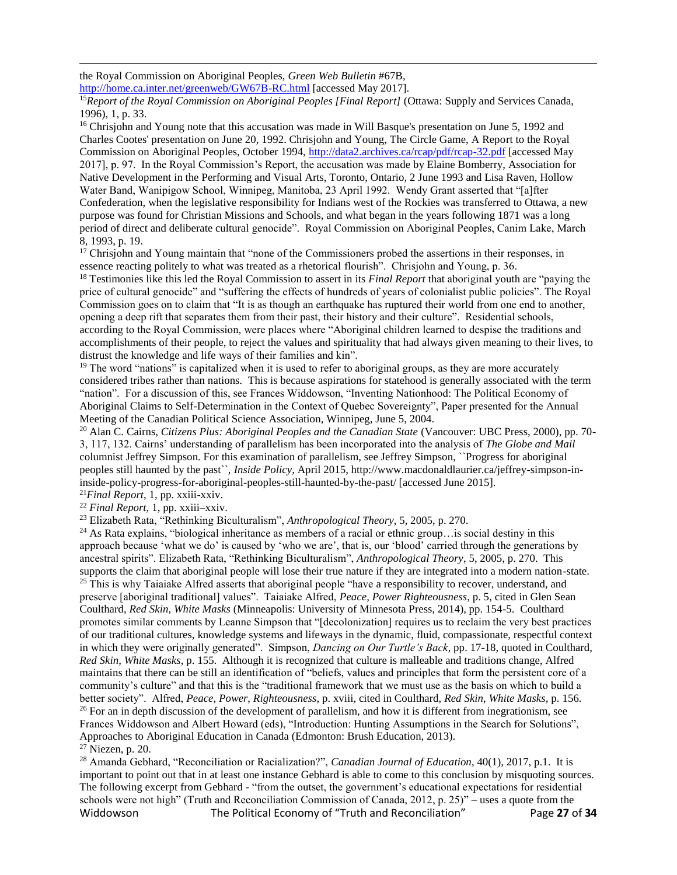the Royal Commission on Aboriginal Peoples, *Green Web Bulletin* #67B,

<http://home.ca.inter.net/greenweb/GW67B-RC.html> [accessed May 2017].

<sup>15</sup>*Report of the Royal Commission on Aboriginal Peoples [Final Report]* (Ottawa: Supply and Services Canada, 1996), 1, p. 33.

<sup>16</sup> Chrisjohn and Young note that this accusation was made in Will Basque's presentation on June 5, 1992 and Charles Cootes' presentation on June 20, 1992. Chrisjohn and Young, The Circle Game, A Report to the Royal Commission on Aboriginal Peoples, October 1994,<http://data2.archives.ca/rcap/pdf/rcap-32.pdf> [accessed May 2017], p. 97. In the Royal Commission's Report, the accusation was made by Elaine Bomberry, Association for Native Development in the Performing and Visual Arts, Toronto, Ontario, 2 June 1993 and Lisa Raven, Hollow Water Band, Wanipigow School, Winnipeg, Manitoba, 23 April 1992. Wendy Grant asserted that "[a]fter Confederation, when the legislative responsibility for Indians west of the Rockies was transferred to Ottawa, a new purpose was found for Christian Missions and Schools, and what began in the years following 1871 was a long period of direct and deliberate cultural genocide". Royal Commission on Aboriginal Peoples, Canim Lake, March 8, 1993, p. 19.

<sup>17</sup> Chrisjohn and Young maintain that "none of the Commissioners probed the assertions in their responses, in essence reacting politely to what was treated as a rhetorical flourish". Chrisjohn and Young, p. 36.

<sup>18</sup> Testimonies like this led the Royal Commission to assert in its *Final Report* that aboriginal youth are "paying the price of cultural genocide" and "suffering the effects of hundreds of years of colonialist public policies". The Royal Commission goes on to claim that "It is as though an earthquake has ruptured their world from one end to another, opening a deep rift that separates them from their past, their history and their culture". Residential schools, according to the Royal Commission, were places where "Aboriginal children learned to despise the traditions and accomplishments of their people, to reject the values and spirituality that had always given meaning to their lives, to distrust the knowledge and life ways of their families and kin".

<sup>19</sup> The word "nations" is capitalized when it is used to refer to aboriginal groups, as they are more accurately considered tribes rather than nations. This is because aspirations for statehood is generally associated with the term "nation". For a discussion of this, see Frances Widdowson, "Inventing Nationhood: The Political Economy of Aboriginal Claims to Self-Determination in the Context of Quebec Sovereignty", Paper presented for the Annual Meeting of the Canadian Political Science Association, Winnipeg, June 5, 2004.

<sup>20</sup> Alan C. Cairns, *Citizens Plus: Aboriginal Peoples and the Canadian State* (Vancouver: UBC Press, 2000), pp. 70- 3, 117, 132. Cairns' understanding of parallelism has been incorporated into the analysis of *The Globe and Mail*  columnist Jeffrey Simpson. For this examination of parallelism, see Jeffrey Simpson, ``Progress for aboriginal peoples still haunted by the past``, *Inside Policy*, April 2015, http://www.macdonaldlaurier.ca/jeffrey-simpson-ininside-policy-progress-for-aboriginal-peoples-still-haunted-by-the-past/ [accessed June 2015].

<sup>21</sup>*Final Report*, 1, pp. xxiii-xxiv.

 $\overline{\phantom{a}}$ 

<sup>22</sup> *Final Report,* 1, pp. xxiii–xxiv.

<sup>23</sup> Elizabeth Rata, "Rethinking Biculturalism", *Anthropological Theory*, 5, 2005, p. 270.

<sup>24</sup> As Rata explains, "biological inheritance as members of a racial or ethnic group…is social destiny in this approach because 'what we do' is caused by 'who we are', that is, our 'blood' carried through the generations by ancestral spirits". Elizabeth Rata, "Rethinking Biculturalism", *Anthropological Theory*, 5, 2005, p. 270. This supports the claim that aboriginal people will lose their true nature if they are integrated into a modern nation-state. <sup>25</sup> This is why Taiaiake Alfred asserts that aboriginal people "have a responsibility to recover, understand, and preserve [aboriginal traditional] values". Taiaiake Alfred, *Peace, Power Righteousness*, p. 5, cited in Glen Sean Coulthard, *Red Skin, White Masks* (Minneapolis: University of Minnesota Press, 2014), pp. 154-5. Coulthard promotes similar comments by Leanne Simpson that "[decolonization] requires us to reclaim the very best practices of our traditional cultures, knowledge systems and lifeways in the dynamic, fluid, compassionate, respectful context in which they were originally generated". Simpson, *Dancing on Our Turtle's Back*, pp. 17-18, quoted in Coulthard, *Red Skin, White Masks*, p. 155. Although it is recognized that culture is malleable and traditions change, Alfred maintains that there can be still an identification of "beliefs, values and principles that form the persistent core of a community's culture" and that this is the "traditional framework that we must use as the basis on which to build a better society". Alfred, *Peace, Power, Righteousness*, p. xviii, cited in Coulthard, *Red Skin, White Masks*, p. 156. <sup>26</sup> For an in depth discussion of the development of parallelism, and how it is different from inegrationism, see Frances Widdowson and Albert Howard (eds), "Introduction: Hunting Assumptions in the Search for Solutions",

Approaches to Aboriginal Education in Canada (Edmonton: Brush Education, 2013).

 $27$  Niezen, p. 20.

Widdowson The Political Economy of "Truth and Reconciliation" Page **27** of **34** <sup>28</sup> Amanda Gebhard, "Reconciliation or Racialization?", *Canadian Journal of Education*, 40(1), 2017, p.1. It is important to point out that in at least one instance Gebhard is able to come to this conclusion by misquoting sources. The following excerpt from Gebhard - "from the outset, the government's educational expectations for residential schools were not high" (Truth and Reconciliation Commission of Canada, 2012, p. 25)" – uses a quote from the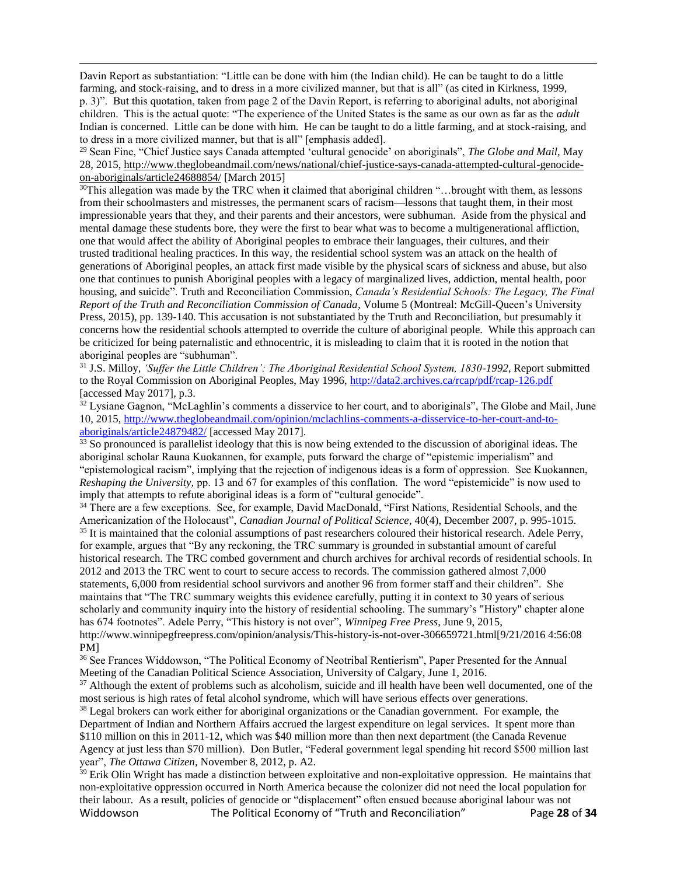Davin Report as substantiation: "Little can be done with him (the Indian child). He can be taught to do a little farming, and stock-raising, and to dress in a more civilized manner, but that is all" (as cited in Kirkness, 1999, p. 3)". But this quotation, taken from page 2 of the Davin Report, is referring to aboriginal adults, not aboriginal children. This is the actual quote: "The experience of the United States is the same as our own as far as the *adult* Indian is concerned. Little can be done with him. He can be taught to do a little farming, and at stock-raising, and to dress in a more civilized manner, but that is all" [emphasis added].

 $\overline{\phantom{a}}$ 

<sup>29</sup> Sean Fine, "Chief Justice says Canada attempted 'cultural genocide' on aboriginals", *The Globe and Mail*, May 28, 2015, [http://www.theglobeandmail.com/news/national/chief-justice-says-canada-attempted-cultural-genocide](http://www.theglobeandmail.com/news/national/chief-justice-says-canada-attempted-cultural-genocide-on-aboriginals/article24688854/)[on-aboriginals/article24688854/](http://www.theglobeandmail.com/news/national/chief-justice-says-canada-attempted-cultural-genocide-on-aboriginals/article24688854/) [March 2015]

<sup>30</sup>This allegation was made by the TRC when it claimed that aboriginal children "…brought with them, as lessons from their schoolmasters and mistresses, the permanent scars of racism—lessons that taught them, in their most impressionable years that they, and their parents and their ancestors, were subhuman. Aside from the physical and mental damage these students bore, they were the first to bear what was to become a multigenerational affliction, one that would affect the ability of Aboriginal peoples to embrace their languages, their cultures, and their trusted traditional healing practices. In this way, the residential school system was an attack on the health of generations of Aboriginal peoples, an attack first made visible by the physical scars of sickness and abuse, but also one that continues to punish Aboriginal peoples with a legacy of marginalized lives, addiction, mental health, poor housing, and suicide". Truth and Reconciliation Commission, *Canada's Residential Schools: The Legacy, The Final Report of the Truth and Reconciliation Commission of Canada*, Volume 5 (Montreal: McGill-Queen's University Press, 2015), pp. 139-140. This accusation is not substantiated by the Truth and Reconciliation, but presumably it concerns how the residential schools attempted to override the culture of aboriginal people. While this approach can be criticized for being paternalistic and ethnocentric, it is misleading to claim that it is rooted in the notion that aboriginal peoples are "subhuman".

<sup>31</sup> J.S. Milloy, *'Suffer the Little Children': The Aboriginal Residential School System, 1830-1992*, Report submitted to the Royal Commission on Aboriginal Peoples, May 1996[, http://data2.archives.ca/rcap/pdf/rcap-126.pdf](http://data2.archives.ca/rcap/pdf/rcap-126.pdf) [accessed May 2017], p.3.

<sup>32</sup> Lysiane Gagnon, "McLaghlin's comments a disservice to her court, and to aboriginals". The Globe and Mail, June 10, 2015, [http://www.theglobeandmail.com/opinion/mclachlins-comments-a-disservice-to-her-court-and-to](http://www.theglobeandmail.com/opinion/mclachlins-comments-a-disservice-to-her-court-and-to-aboriginals/article24879482/)[aboriginals/article24879482/](http://www.theglobeandmail.com/opinion/mclachlins-comments-a-disservice-to-her-court-and-to-aboriginals/article24879482/) [accessed May 2017].

<sup>33</sup> So pronounced is parallelist ideology that this is now being extended to the discussion of aboriginal ideas. The aboriginal scholar Rauna Kuokannen, for example, puts forward the charge of "epistemic imperialism" and "epistemological racism", implying that the rejection of indigenous ideas is a form of oppression. See Kuokannen, *Reshaping the University,* pp. 13 and 67 for examples of this conflation. The word "epistemicide" is now used to imply that attempts to refute aboriginal ideas is a form of "cultural genocide".

<sup>34</sup> There are a few exceptions. See, for example, David MacDonald, "First Nations, Residential Schools, and the Americanization of the Holocaust", *Canadian Journal of Political Science*, 40(4), December 2007, p. 995-1015. <sup>35</sup> It is maintained that the colonial assumptions of past researchers coloured their historical research. Adele Perry, for example, argues that "By any reckoning, the TRC summary is grounded in substantial amount of careful historical research. The TRC combed government and church archives for archival records of residential schools. In 2012 and 2013 the TRC went to court to secure access to records. The commission gathered almost 7,000 statements, 6,000 from residential school survivors and another 96 from former staff and their children". She maintains that "The TRC summary weights this evidence carefully, putting it in context to 30 years of serious scholarly and community inquiry into the history of residential schooling. The summary's "History" chapter alone has 674 footnotes". Adele Perry, "This history is not over", *Winnipeg Free Press*, June 9, 2015, http://www.winnipegfreepress.com/opinion/analysis/This-history-is-not-over-306659721.html[9/21/2016 4:56:08 PM]

<sup>36</sup> See Frances Widdowson, "The Political Economy of Neotribal Rentierism", Paper Presented for the Annual Meeting of the Canadian Political Science Association, University of Calgary, June 1, 2016.

 $37$  Although the extent of problems such as alcoholism, suicide and ill health have been well documented, one of the most serious is high rates of fetal alcohol syndrome, which will have serious effects over generations.

<sup>38</sup> Legal brokers can work either for aboriginal organizations or the Canadian government. For example, the Department of Indian and Northern Affairs accrued the largest expenditure on legal services. It spent more than \$110 million on this in 2011-12, which was \$40 million more than then next department (the Canada Revenue Agency at just less than \$70 million). Don Butler, "Federal government legal spending hit record \$500 million last year", *The Ottawa Citizen*, November 8, 2012, p. A2.

Widdowson The Political Economy of "Truth and Reconciliation" Page **28** of **34** <sup>39</sup> Erik Olin Wright has made a distinction between exploitative and non-exploitative oppression. He maintains that non-exploitative oppression occurred in North America because the colonizer did not need the local population for their labour. As a result, policies of genocide or "displacement" often ensued because aboriginal labour was not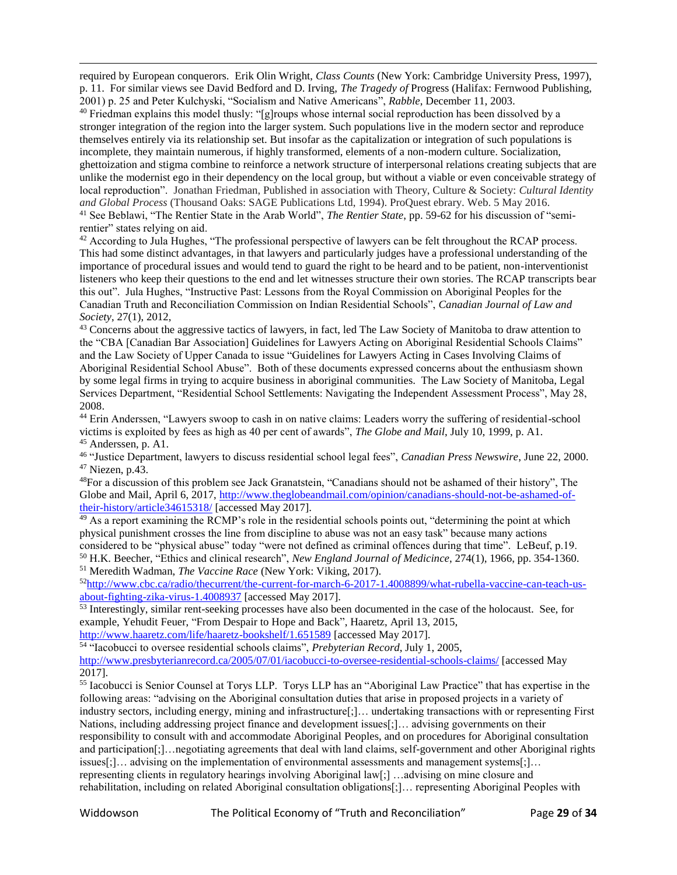required by European conquerors. Erik Olin Wright, *Class Counts* (New York: Cambridge University Press, 1997), p. 11. For similar views see David Bedford and D. Irving, *The Tragedy of* Progress (Halifax: Fernwood Publishing, 2001) p. 25 and Peter Kulchyski, "Socialism and Native Americans", *Rabble*, December 11, 2003.

<sup>40</sup> Friedman explains this model thusly: "[g]roups whose internal social reproduction has been dissolved by a stronger integration of the region into the larger system. Such populations live in the modern sector and reproduce themselves entirely via its relationship set. But insofar as the capitalization or integration of such populations is incomplete, they maintain numerous, if highly transformed, elements of a non-modern culture. Socialization, ghettoization and stigma combine to reinforce a network structure of interpersonal relations creating subjects that are unlike the modernist ego in their dependency on the local group, but without a viable or even conceivable strategy of local reproduction". Jonathan Friedman, Published in association with Theory, Culture & Society: *Cultural Identity and Global Process* (Thousand Oaks: SAGE Publications Ltd, 1994). ProQuest ebrary. Web. 5 May 2016. <sup>41</sup> See Beblawi, "The Rentier State in the Arab World", *The Rentier State*, pp. 59-62 for his discussion of "semirentier" states relying on aid.

<sup>42</sup> According to Jula Hughes, "The professional perspective of lawyers can be felt throughout the RCAP process. This had some distinct advantages, in that lawyers and particularly judges have a professional understanding of the importance of procedural issues and would tend to guard the right to be heard and to be patient, non-interventionist listeners who keep their questions to the end and let witnesses structure their own stories. The RCAP transcripts bear this out". Jula Hughes, "Instructive Past: Lessons from the Royal Commission on Aboriginal Peoples for the Canadian Truth and Reconciliation Commission on Indian Residential Schools", *Canadian Journal of Law and Society*, 27(1), 2012,

<sup>43</sup> Concerns about the aggressive tactics of lawyers, in fact, led The Law Society of Manitoba to draw attention to the "CBA [Canadian Bar Association] Guidelines for Lawyers Acting on Aboriginal Residential Schools Claims" and the Law Society of Upper Canada to issue "Guidelines for Lawyers Acting in Cases Involving Claims of Aboriginal Residential School Abuse". Both of these documents expressed concerns about the enthusiasm shown by some legal firms in trying to acquire business in aboriginal communities. The Law Society of Manitoba, Legal Services Department, "Residential School Settlements: Navigating the Independent Assessment Process", May 28, 2008.

<sup>44</sup> Erin Anderssen, "Lawyers swoop to cash in on native claims: Leaders worry the suffering of residential-school victims is exploited by fees as high as 40 per cent of awards", *The Globe and Mail*, July 10, 1999, p. A1. <sup>45</sup> Anderssen, p. A1.

<sup>46</sup> "Justice Department, lawyers to discuss residential school legal fees", *Canadian Press Newswire*, June 22, 2000. <sup>47</sup> Niezen, p.43.

<sup>48</sup>For a discussion of this problem see Jack Granatstein, "Canadians should not be ashamed of their history", The Globe and Mail, April 6, 2017, [http://www.theglobeandmail.com/opinion/canadians-should-not-be-ashamed-of](http://www.theglobeandmail.com/opinion/canadians-should-not-be-ashamed-of-their-history/article34615318/)[their-history/article34615318/](http://www.theglobeandmail.com/opinion/canadians-should-not-be-ashamed-of-their-history/article34615318/) [accessed May 2017].

 $49$  As a report examining the RCMP's role in the residential schools points out, "determining the point at which physical punishment crosses the line from discipline to abuse was not an easy task" because many actions considered to be "physical abuse" today "were not defined as criminal offences during that time". LeBeuf, p.19. <sup>50</sup> H.K. Beecher, "Ethics and clinical research", *New England Journal of Medicince*, 274(1), 1966, pp. 354-1360. <sup>51</sup> Meredith Wadman, *The Vaccine Race* (New York: Viking, 2017).

52[http://www.cbc.ca/radio/thecurrent/the-current-for-march-6-2017-1.4008899/what-rubella-vaccine-can-teach-us](http://www.cbc.ca/radio/thecurrent/the-current-for-march-6-2017-1.4008899/what-rubella-vaccine-can-teach-us-about-fighting-zika-virus-1.4008937)[about-fighting-zika-virus-1.4008937](http://www.cbc.ca/radio/thecurrent/the-current-for-march-6-2017-1.4008899/what-rubella-vaccine-can-teach-us-about-fighting-zika-virus-1.4008937) [accessed May 2017].

<sup>53</sup> Interestingly, similar rent-seeking processes have also been documented in the case of the holocaust. See, for example, Yehudit Feuer, "From Despair to Hope and Back", Haaretz, April 13, 2015,

<http://www.haaretz.com/life/haaretz-bookshelf/1.651589> [accessed May 2017].

<sup>54</sup> "Iacobucci to oversee residential schools claims", *Prebyterian Record*, July 1, 2005, <http://www.presbyterianrecord.ca/2005/07/01/iacobucci-to-oversee-residential-schools-claims/> [accessed May 2017].

<sup>55</sup> Iacobucci is Senior Counsel at Torys LLP. Torys LLP has an "Aboriginal Law Practice" that has expertise in the following areas: "advising on the Aboriginal consultation duties that arise in proposed projects in a variety of industry sectors, including energy, mining and infrastructure[;]… undertaking transactions with or representing First Nations, including addressing project finance and development issues[;]… advising governments on their responsibility to consult with and accommodate Aboriginal Peoples, and on procedures for Aboriginal consultation and participation[;]…negotiating agreements that deal with land claims, self-government and other Aboriginal rights issues[;]… advising on the implementation of environmental assessments and management systems[;]… representing clients in regulatory hearings involving Aboriginal law[;] …advising on mine closure and rehabilitation, including on related Aboriginal consultation obligations[;]… representing Aboriginal Peoples with

 $\overline{\phantom{a}}$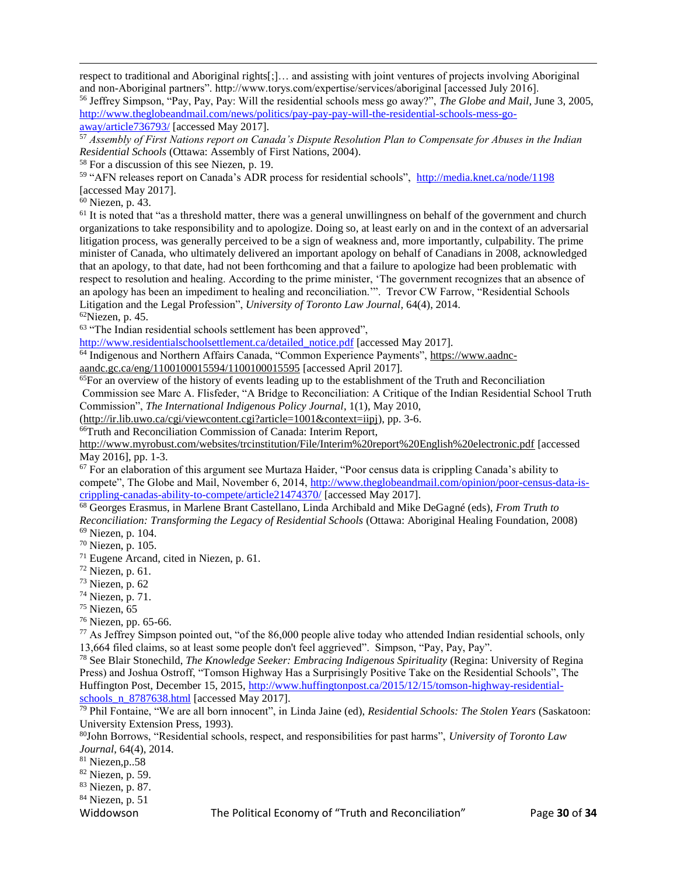respect to traditional and Aboriginal rights[;]… and assisting with joint ventures of projects involving Aboriginal and non-Aboriginal partners". http://www.torys.com/expertise/services/aboriginal [accessed July 2016]. <sup>56</sup> Jeffrey Simpson, "Pay, Pay, Pay: Will the residential schools mess go away?", *The Globe and Mail*, June 3, 2005, [http://www.theglobeandmail.com/news/politics/pay-pay-pay-will-the-residential-schools-mess-go-](http://www.theglobeandmail.com/news/politics/pay-pay-pay-will-the-residential-schools-mess-go-away/article736793/)

[away/article736793/](http://www.theglobeandmail.com/news/politics/pay-pay-pay-will-the-residential-schools-mess-go-away/article736793/) [accessed May 2017].

<sup>57</sup> *Assembly of First Nations report on Canada's Dispute Resolution Plan to Compensate for Abuses in the Indian Residential Schools* (Ottawa: Assembly of First Nations, 2004).

<sup>58</sup> For a discussion of this see Niezen, p. 19.

<sup>59</sup> "AFN releases report on Canada's ADR process for residential schools", <http://media.knet.ca/node/1198> [accessed May 2017].

<sup>60</sup> Niezen, p. 43.

 $\overline{\phantom{a}}$ 

 $61$  It is noted that "as a threshold matter, there was a general unwillingness on behalf of the government and church organizations to take responsibility and to apologize. Doing so, at least early on and in the context of an adversarial litigation process, was generally perceived to be a sign of weakness and, more importantly, culpability. The prime minister of Canada, who ultimately delivered an important apology on behalf of Canadians in 2008, acknowledged that an apology, to that date, had not been forthcoming and that a failure to apologize had been problematic with respect to resolution and healing. According to the prime minister, 'The government recognizes that an absence of an apology has been an impediment to healing and reconciliation.". Trevor CW Farrow, "Residential Schools" Litigation and the Legal Profession", *University of Toronto Law Journal*, 64(4), 2014.  $62$ Niezen, p. 45.

<sup>63</sup> "The Indian residential schools settlement has been approved",

[http://www.residentialschoolsettlement.ca/detailed\\_notice.pdf](http://www.residentialschoolsettlement.ca/detailed_notice.pdf) [accessed May 2017].

<sup>64</sup> Indigenous and Northern Affairs Canada, "Common Experience Payments", [https://www.aadnc-](https://www.aadnc-aandc.gc.ca/eng/1100100015594/1100100015595)

[aandc.gc.ca/eng/1100100015594/1100100015595](https://www.aadnc-aandc.gc.ca/eng/1100100015594/1100100015595) [accessed April 2017].

 $<sup>65</sup>$ For an overview of the history of events leading up to the establishment of the Truth and Reconciliation</sup> Commission see Marc A. Flisfeder, "A Bridge to Reconciliation: A Critique of the Indian Residential School Truth Commission", *The International Indigenous Policy Journal*, 1(1), May 2010,

[\(http://ir.lib.uwo.ca/cgi/viewcontent.cgi?article=1001&context=iipj\)](http://ir.lib.uwo.ca/cgi/viewcontent.cgi?article=1001&context=iipj), pp. 3-6.

<sup>66</sup>Truth and Reconciliation Commission of Canada: Interim Report,

<http://www.myrobust.com/websites/trcinstitution/File/Interim%20report%20English%20electronic.pdf> [accessed May 2016], pp. 1-3.

<sup>67</sup> For an elaboration of this argument see Murtaza Haider, "Poor census data is crippling Canada's ability to compete", The Globe and Mail, November 6, 2014, [http://www.theglobeandmail.com/opinion/poor-census-data-is](http://www.theglobeandmail.com/opinion/poor-census-data-is-crippling-canadas-ability-to-compete/article21474370/)[crippling-canadas-ability-to-compete/article21474370/](http://www.theglobeandmail.com/opinion/poor-census-data-is-crippling-canadas-ability-to-compete/article21474370/) [accessed May 2017].

<sup>68</sup> Georges Erasmus, in Marlene Brant Castellano, Linda Archibald and Mike DeGagné (eds), *From Truth to Reconciliation: Transforming the Legacy of Residential Schools* (Ottawa: Aboriginal Healing Foundation, 2008)

<sup>69</sup> Niezen, p. 104.

<sup>70</sup> Niezen, p. 105.

<sup>71</sup> Eugene Arcand, cited in Niezen, p. 61.

 $72$  Niezen, p. 61.

<sup>73</sup> Niezen, p. 62

<sup>74</sup> Niezen, p. 71.

 $75$  Niezen, 65

<sup>76</sup> Niezen, pp. 65-66.

<sup>77</sup> As Jeffrey Simpson pointed out, "of the 86,000 people alive today who attended Indian residential schools, only 13,664 filed claims, so at least some people don't feel aggrieved". Simpson, "Pay, Pay, Pay".

<sup>78</sup> See Blair Stonechild, *The Knowledge Seeker: Embracing Indigenous Spirituality* (Regina: University of Regina Press) and Joshua Ostroff, "Tomson Highway Has a Surprisingly Positive Take on the Residential Schools", The Huffington Post, December 15, 2015[, http://www.huffingtonpost.ca/2015/12/15/tomson-highway-residential](http://www.huffingtonpost.ca/2015/12/15/tomson-highway-residential-schools_n_8787638.html)[schools\\_n\\_8787638.html](http://www.huffingtonpost.ca/2015/12/15/tomson-highway-residential-schools_n_8787638.html) [accessed May 2017].

<sup>79</sup> Phil Fontaine, "We are all born innocent", in Linda Jaine (ed), *Residential Schools: The Stolen Years* (Saskatoon: University Extension Press, 1993).

<sup>80</sup>John Borrows, "Residential schools, respect, and responsibilities for past harms", *University of Toronto Law Journal*, 64(4), 2014.

 $81$  Niezen, p., 58

<sup>82</sup> Niezen, p. 59.

<sup>83</sup> Niezen, p. 87.

<sup>84</sup> Niezen, p. 51

Widdowson The Political Economy of "Truth and Reconciliation" Page **30** of **34**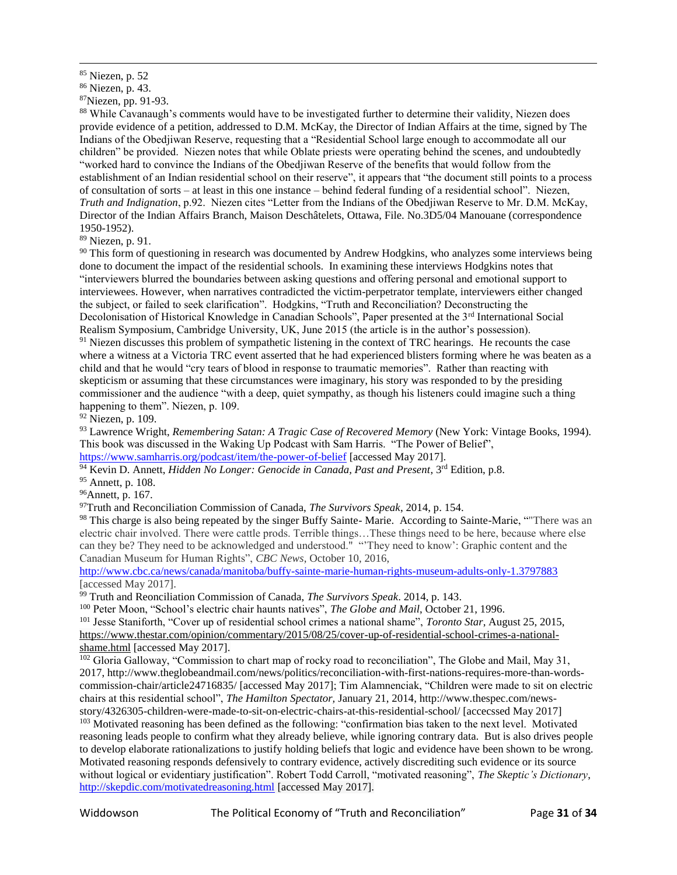$\overline{\phantom{a}}$ 

<sup>87</sup>Niezen, pp. 91-93.

<sup>88</sup> While Cavanaugh's comments would have to be investigated further to determine their validity, Niezen does provide evidence of a petition, addressed to D.M. McKay, the Director of Indian Affairs at the time, signed by The Indians of the Obedjiwan Reserve, requesting that a "Residential School large enough to accommodate all our children" be provided. Niezen notes that while Oblate priests were operating behind the scenes, and undoubtedly "worked hard to convince the Indians of the Obedjiwan Reserve of the benefits that would follow from the establishment of an Indian residential school on their reserve", it appears that "the document still points to a process of consultation of sorts – at least in this one instance – behind federal funding of a residential school". Niezen, *Truth and Indignation*, p.92. Niezen cites "Letter from the Indians of the Obedjiwan Reserve to Mr. D.M. McKay, Director of the Indian Affairs Branch, Maison Deschâtelets, Ottawa, File. No.3D5/04 Manouane (correspondence 1950-1952).

<sup>89</sup> Niezen, p. 91.

<sup>90</sup> This form of questioning in research was documented by Andrew Hodgkins, who analyzes some interviews being done to document the impact of the residential schools. In examining these interviews Hodgkins notes that "interviewers blurred the boundaries between asking questions and offering personal and emotional support to interviewees. However, when narratives contradicted the victim-perpetrator template, interviewers either changed the subject, or failed to seek clarification". Hodgkins, "Truth and Reconciliation? Deconstructing the Decolonisation of Historical Knowledge in Canadian Schools", Paper presented at the 3<sup>rd</sup> International Social Realism Symposium, Cambridge University, UK, June 2015 (the article is in the author's possession). <sup>91</sup> Niezen discusses this problem of sympathetic listening in the context of TRC hearings. He recounts the case

where a witness at a Victoria TRC event asserted that he had experienced blisters forming where he was beaten as a child and that he would "cry tears of blood in response to traumatic memories". Rather than reacting with skepticism or assuming that these circumstances were imaginary, his story was responded to by the presiding commissioner and the audience "with a deep, quiet sympathy, as though his listeners could imagine such a thing happening to them". Niezen, p. 109.

<sup>92</sup> Niezen, p. 109.

<sup>93</sup> Lawrence Wright, *Remembering Satan: A Tragic Case of Recovered Memory* (New York: Vintage Books, 1994). This book was discussed in the Waking Up Podcast with Sam Harris. "The Power of Belief", <https://www.samharris.org/podcast/item/the-power-of-belief> [accessed May 2017].

<sup>94</sup> Kevin D. Annett, *Hidden No Longer: Genocide in Canada*, *Past and Present*, 3<sup>rd</sup> Edition, p.8.

<sup>95</sup> Annett, p. 108.

<sup>96</sup>Annett, p. 167.

<sup>97</sup>Truth and Reconciliation Commission of Canada, *The Survivors Speak*, 2014, p. 154.

98 This charge is also being repeated by the singer Buffy Sainte- Marie. According to Sainte-Marie, "There was an electric chair involved. There were cattle prods. Terrible things…These things need to be here, because where else can they be? They need to be acknowledged and understood." "'They need to know': Graphic content and the Canadian Museum for Human Rights", *CBC News*, October 10, 2016,

<http://www.cbc.ca/news/canada/manitoba/buffy-sainte-marie-human-rights-museum-adults-only-1.3797883> [accessed May 2017].

<sup>99</sup> Truth and Reonciliation Commission of Canada, *The Survivors Speak*. 2014, p. 143.

<sup>100</sup> Peter Moon, "School's electric chair haunts natives", *The Globe and Mail*, October 21, 1996.

<sup>101</sup> Jesse Staniforth, "Cover up of residential school crimes a national shame", *Toronto Star*, August 25, 2015, [https://www.thestar.com/opinion/commentary/2015/08/25/cover-up-of-residential-school-crimes-a-national](https://www.thestar.com/opinion/commentary/2015/08/25/cover-up-of-residential-school-crimes-a-national-shame.html)[shame.html](https://www.thestar.com/opinion/commentary/2015/08/25/cover-up-of-residential-school-crimes-a-national-shame.html) [accessed May 2017].

<sup>102</sup> Gloria Galloway, "Commission to chart map of rocky road to reconciliation", The Globe and Mail, May 31, 2017, [http://www.theglobeandmail.com/news/politics/reconciliation-with-first-nations-requires-more-than-words](http://www.theglobeandmail.com/news/politics/reconciliation-with-first-nations-requires-more-than-words-commission-chair/article24716835/)[commission-chair/article24716835/](http://www.theglobeandmail.com/news/politics/reconciliation-with-first-nations-requires-more-than-words-commission-chair/article24716835/) [accessed May 2017]; Tim Alamnenciak, "Children were made to sit on electric chairs at this residential school", *The Hamilton Spectator,* January 21, 2014, [http://www.thespec.com/news-](http://www.thespec.com/news-story/4326305-children-were-made-to-sit-on-electric-chairs-at-this-residential-school/)

[story/4326305-children-were-made-to-sit-on-electric-chairs-at-this-residential-school/](http://www.thespec.com/news-story/4326305-children-were-made-to-sit-on-electric-chairs-at-this-residential-school/) [accecssed May 2017] <sup>103</sup> Motivated reasoning has been defined as the following: "confirmation bias taken to the next level. Motivated reasoning leads people to confirm what they already believe, while ignoring contrary data. But is also drives people to develop elaborate rationalizations to justify holding beliefs that logic and evidence have been shown to be wrong. Motivated reasoning responds defensively to contrary evidence, actively discrediting such evidence or its source without logical or evidentiary justification". Robert Todd Carroll, "motivated reasoning", *The Skeptic's Dictionary*, <http://skepdic.com/motivatedreasoning.html> [accessed May 2017].

<sup>85</sup> Niezen, p. 52

<sup>86</sup> Niezen, p. 43.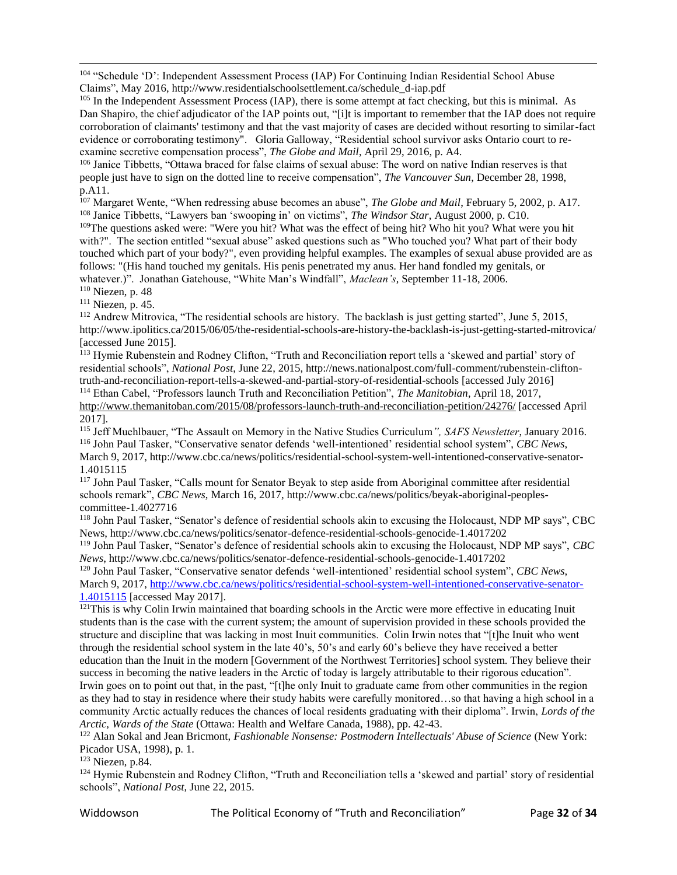<sup>104</sup> "Schedule 'D': Independent Assessment Process (IAP) For Continuing Indian Residential School Abuse Claims", May 2016, http://www.residentialschoolsettlement.ca/schedule\_d-iap.pdf

<sup>105</sup> In the Independent Assessment Process (IAP), there is some attempt at fact checking, but this is minimal. As Dan Shapiro, the chief adjudicator of the IAP points out, "[i]t is important to remember that the IAP does not require corroboration of claimants' testimony and that the vast majority of cases are decided without resorting to similar-fact evidence or corroborating testimony". Gloria Galloway, "Residential school survivor asks Ontario court to reexamine secretive compensation process", *The Globe and Mail*, April 29, 2016, p. A4.

<sup>106</sup> Janice Tibbetts, "Ottawa braced for false claims of sexual abuse: The word on native Indian reserves is that people just have to sign on the dotted line to receive compensation", *The Vancouver Sun*, December 28, 1998, p.A11.

<sup>107</sup> Margaret Wente, "When redressing abuse becomes an abuse", *The Globe and Mail*, February 5, 2002, p. A17. <sup>108</sup> Janice Tibbetts, "Lawyers ban 'swooping in' on victims", *The Windsor Star*, August 2000, p. C10.

<sup>109</sup>The questions asked were: "Were you hit? What was the effect of being hit? Who hit you? What were you hit with?". The section entitled "sexual abuse" asked questions such as "Who touched you? What part of their body touched which part of your body?", even providing helpful examples. The examples of sexual abuse provided are as follows: "(His hand touched my genitals. His penis penetrated my anus. Her hand fondled my genitals, or whatever.)". Jonathan Gatehouse, "White Man's Windfall", *Maclean's*, September 11-18, 2006. <sup>110</sup> Niezen, p. 48

 $\overline{\phantom{a}}$ 

<sup>111</sup> Niezen, p. 45.

<sup>112</sup> Andrew Mitrovica, "The residential schools are history. The backlash is just getting started", June 5, 2015, <http://www.ipolitics.ca/2015/06/05/the-residential-schools-are-history-the-backlash-is-just-getting-started-mitrovica/> [accessed June 2015].

<sup>113</sup> Hymie Rubenstein and Rodney Clifton, "Truth and Reconciliation report tells a 'skewed and partial' story of residential schools", *National Post*, June 22, 2015, http://news.nationalpost.com/full-comment/rubenstein-cliftontruth-and-reconciliation-report-tells-a-skewed-and-partial-story-of-residential-schools [accessed July 2016] <sup>114</sup> Ethan Cabel, "Professors launch Truth and Reconciliation Petition", *The Manitobian*, April 18, 2017,

<http://www.themanitoban.com/2015/08/professors-launch-truth-and-reconciliation-petition/24276/> [accessed April 2017].

<sup>115</sup> Jeff Muehlbauer, "The Assault on Memory in the Native Studies Curriculum*", SAFS Newsletter*, January 2016. <sup>116</sup> John Paul Tasker, "Conservative senator defends 'well-intentioned' residential school system", *CBC News*, March 9, 2017, http://www.cbc.ca/news/politics/residential-school-system-well-intentioned-conservative-senator-1.4015115

<sup>117</sup> John Paul Tasker, "Calls mount for Senator Beyak to step aside from Aboriginal committee after residential schools remark", *CBC News*, March 16, 2017, http://www.cbc.ca/news/politics/beyak-aboriginal-peoplescommittee-1.4027716

<sup>118</sup> John Paul Tasker, "Senator's defence of residential schools akin to excusing the Holocaust, NDP MP says", CBC News, http://www.cbc.ca/news/politics/senator-defence-residential-schools-genocide-1.4017202

<sup>119</sup> John Paul Tasker, "Senator's defence of residential schools akin to excusing the Holocaust, NDP MP says", *CBC News*, http://www.cbc.ca/news/politics/senator-defence-residential-schools-genocide-1.4017202

<sup>120</sup> John Paul Tasker, "Conservative senator defends 'well-intentioned' residential school system", *CBC News*, March 9, 2017[, http://www.cbc.ca/news/politics/residential-school-system-well-intentioned-conservative-senator-](http://www.cbc.ca/news/politics/residential-school-system-well-intentioned-conservative-senator-1.4015115)[1.4015115](http://www.cbc.ca/news/politics/residential-school-system-well-intentioned-conservative-senator-1.4015115) [accessed May 2017].

<sup>121</sup>This is why Colin Irwin maintained that boarding schools in the Arctic were more effective in educating Inuit students than is the case with the current system; the amount of supervision provided in these schools provided the structure and discipline that was lacking in most Inuit communities. Colin Irwin notes that "[t]he Inuit who went through the residential school system in the late 40's, 50's and early 60's believe they have received a better education than the Inuit in the modern [Government of the Northwest Territories] school system. They believe their success in becoming the native leaders in the Arctic of today is largely attributable to their rigorous education". Irwin goes on to point out that, in the past, "[t]he only Inuit to graduate came from other communities in the region as they had to stay in residence where their study habits were carefully monitored…so that having a high school in a community Arctic actually reduces the chances of local residents graduating with their diploma". Irwin, *Lords of the Arctic, Wards of the State* (Ottawa: Health and Welfare Canada, 1988), pp. 42-43.

<sup>122</sup> Alan Sokal and Jean Bricmont, *Fashionable Nonsense: Postmodern Intellectuals' Abuse of Science* (New York: Picador USA, 1998), p. 1.

<sup>123</sup> Niezen, p.84.

<sup>124</sup> Hymie Rubenstein and Rodney Clifton, "Truth and Reconciliation tells a 'skewed and partial' story of residential schools", *National Post*, June 22, 2015.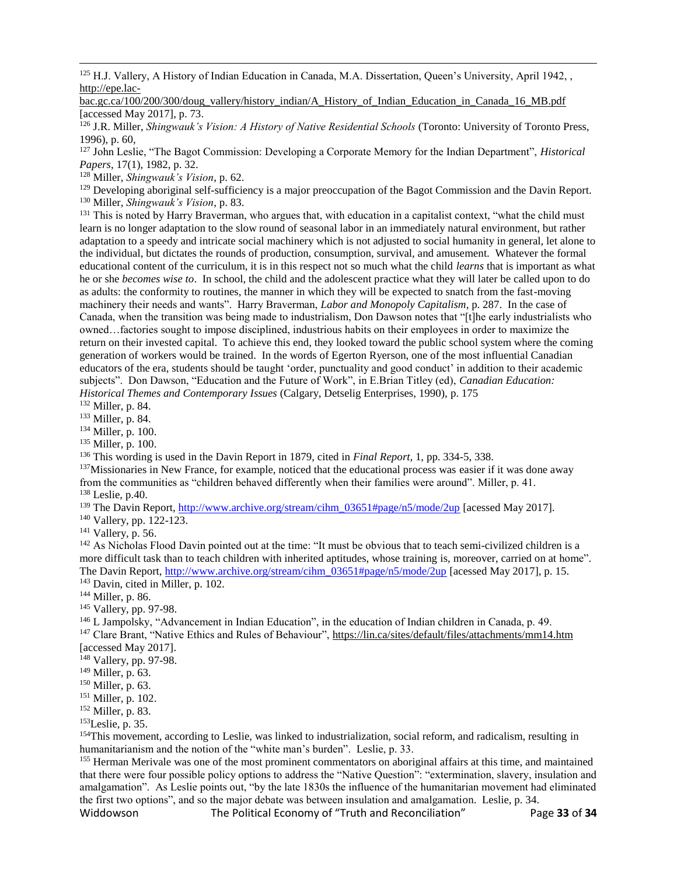<sup>125</sup> H.J. Vallery, A History of Indian Education in Canada, M.A. Dissertation, Queen's University, April 1942, , [http://epe.lac-](http://epe.lac-bac.gc.ca/100/200/300/doug_vallery/history_indian/A_History_of_Indian_Education_in_Canada_16_MB.pdf)

[bac.gc.ca/100/200/300/doug\\_vallery/history\\_indian/A\\_History\\_of\\_Indian\\_Education\\_in\\_Canada\\_16\\_MB.pdf](http://epe.lac-bac.gc.ca/100/200/300/doug_vallery/history_indian/A_History_of_Indian_Education_in_Canada_16_MB.pdf) [accessed May 2017], p. 73.

<sup>126</sup> J.R. Miller, *Shingwauk's Vision: A History of Native Residential Schools* (Toronto: University of Toronto Press, 1996), p. 60,

<sup>127</sup> John Leslie, "The Bagot Commission: Developing a Corporate Memory for the Indian Department", *Historical Papers*, 17(1), 1982, p. 32.

<sup>128</sup> Miller, *Shingwauk's Vision*, p. 62.

<sup>129</sup> Developing aboriginal self-sufficiency is a major preoccupation of the Bagot Commission and the Davin Report. <sup>130</sup> Miller, *Shingwauk's Vision*, p. 83.

<sup>131</sup> This is noted by Harry Braverman, who argues that, with education in a capitalist context, "what the child must learn is no longer adaptation to the slow round of seasonal labor in an immediately natural environment, but rather adaptation to a speedy and intricate social machinery which is not adjusted to social humanity in general, let alone to the individual, but dictates the rounds of production, consumption, survival, and amusement. Whatever the formal educational content of the curriculum, it is in this respect not so much what the child *learns* that is important as what he or she *becomes wise to*. In school, the child and the adolescent practice what they will later be called upon to do as adults: the conformity to routines, the manner in which they will be expected to snatch from the fast-moving machinery their needs and wants". Harry Braverman, *Labor and Monopoly Capitalism*, p. 287. In the case of Canada, when the transition was being made to industrialism, Don Dawson notes that "[t]he early industrialists who owned…factories sought to impose disciplined, industrious habits on their employees in order to maximize the return on their invested capital. To achieve this end, they looked toward the public school system where the coming generation of workers would be trained. In the words of Egerton Ryerson, one of the most influential Canadian educators of the era, students should be taught 'order, punctuality and good conduct' in addition to their academic subjects". Don Dawson, "Education and the Future of Work", in E.Brian Titley (ed), *Canadian Education: Historical Themes and Contemporary Issues* (Calgary, Detselig Enterprises, 1990), p. 175

<sup>132</sup> Miller, p. 84.

 $\overline{\phantom{a}}$ 

<sup>133</sup> Miller, p. 84.

<sup>134</sup> Miller, p. 100.

<sup>135</sup> Miller, p. 100.

<sup>136</sup> This wording is used in the Davin Report in 1879, cited in *Final Report,* 1, pp. 334-5, 338.

<sup>137</sup>Missionaries in New France, for example, noticed that the educational process was easier if it was done away from the communities as "children behaved differently when their families were around". Miller, p. 41. <sup>138</sup> Leslie, p.40.

<sup>139</sup> The Davin Report, [http://www.archive.org/stream/cihm\\_03651#page/n5/mode/2up](http://www.archive.org/stream/cihm_03651#page/n5/mode/2up) [acessed May 2017].

<sup>140</sup> Vallery, pp. 122-123.

<sup>141</sup> Vallery, p. 56.

<sup>142</sup> As Nicholas Flood Davin pointed out at the time: "It must be obvious that to teach semi-civilized children is a more difficult task than to teach children with inherited aptitudes, whose training is, moreover, carried on at home". The Davin Report, [http://www.archive.org/stream/cihm\\_03651#page/n5/mode/2up](http://www.archive.org/stream/cihm_03651#page/n5/mode/2up) [acessed May 2017], p. 15. <sup>143</sup> Davin, cited in Miller, p. 102.

<sup>144</sup> Miller, p. 86.

<sup>145</sup> Vallery, pp. 97-98.

<sup>146</sup> L Jampolsky, "Advancement in Indian Education", in the education of Indian children in Canada, p. 49.

<sup>147</sup> Clare Brant, "Native Ethics and Rules of Behaviour",<https://lin.ca/sites/default/files/attachments/mm14.htm> [accessed May 2017].

<sup>148</sup> Vallery, pp. 97-98.

<sup>149</sup> Miller, p. 63.

<sup>150</sup> Miller, p. 63.

<sup>151</sup> Miller, p. 102.

<sup>152</sup> Miller, p. 83.

<sup>153</sup>Leslie, p. 35.

<sup>154</sup>This movement, according to Leslie, was linked to industrialization, social reform, and radicalism, resulting in humanitarianism and the notion of the "white man's burden". Leslie, p. 33.

<sup>155</sup> Herman Merivale was one of the most prominent commentators on aboriginal affairs at this time, and maintained that there were four possible policy options to address the "Native Question": "extermination, slavery, insulation and amalgamation". As Leslie points out, "by the late 1830s the influence of the humanitarian movement had eliminated the first two options", and so the major debate was between insulation and amalgamation. Leslie, p. 34.

Widdowson The Political Economy of "Truth and Reconciliation" Page **33** of **34**